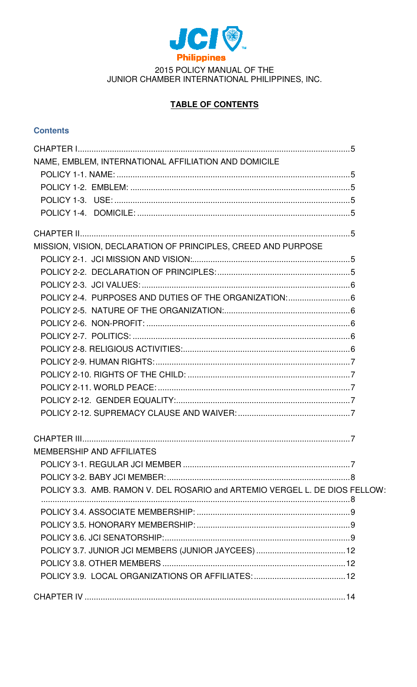

# **TABLE OF CONTENTS**

# **Contents**

| NAME, EMBLEM, INTERNATIONAL AFFILIATION AND DOMICILE                        |  |
|-----------------------------------------------------------------------------|--|
|                                                                             |  |
|                                                                             |  |
|                                                                             |  |
|                                                                             |  |
|                                                                             |  |
| MISSION, VISION, DECLARATION OF PRINCIPLES, CREED AND PURPOSE               |  |
|                                                                             |  |
|                                                                             |  |
|                                                                             |  |
|                                                                             |  |
|                                                                             |  |
|                                                                             |  |
|                                                                             |  |
|                                                                             |  |
|                                                                             |  |
|                                                                             |  |
|                                                                             |  |
|                                                                             |  |
|                                                                             |  |
|                                                                             |  |
| <b>MEMBERSHIP AND AFFILIATES</b>                                            |  |
|                                                                             |  |
|                                                                             |  |
| POLICY 3.3. AMB. RAMON V. DEL ROSARIO and ARTEMIO VERGEL L. DE DIOS FELLOW: |  |
|                                                                             |  |
|                                                                             |  |
|                                                                             |  |
|                                                                             |  |
|                                                                             |  |
|                                                                             |  |
|                                                                             |  |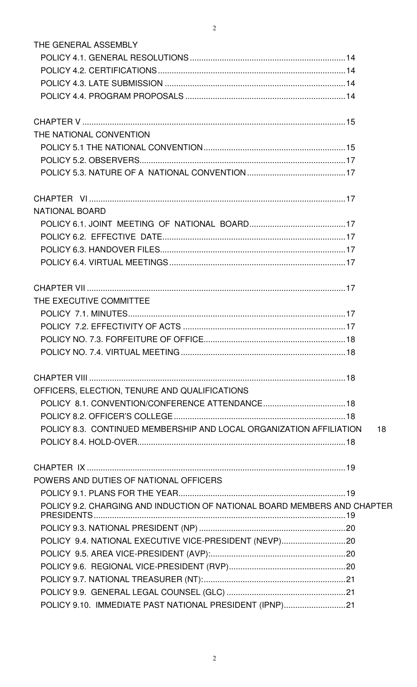| THE GENERAL ASSEMBLY                                                      |
|---------------------------------------------------------------------------|
|                                                                           |
|                                                                           |
|                                                                           |
|                                                                           |
|                                                                           |
|                                                                           |
| THE NATIONAL CONVENTION                                                   |
|                                                                           |
|                                                                           |
|                                                                           |
|                                                                           |
| <b>NATIONAL BOARD</b>                                                     |
|                                                                           |
|                                                                           |
|                                                                           |
|                                                                           |
|                                                                           |
| THE EXECUTIVE COMMITTEE                                                   |
|                                                                           |
|                                                                           |
|                                                                           |
|                                                                           |
|                                                                           |
|                                                                           |
| OFFICERS, ELECTION, TENURE AND QUALIFICATIONS                             |
|                                                                           |
|                                                                           |
| POLICY 8.3. CONTINUED MEMBERSHIP AND LOCAL ORGANIZATION AFFILIATION<br>18 |
|                                                                           |
|                                                                           |
| POWERS AND DUTIES OF NATIONAL OFFICERS                                    |
|                                                                           |
| POLICY 9.2. CHARGING AND INDUCTION OF NATIONAL BOARD MEMBERS AND CHAPTER  |
|                                                                           |
|                                                                           |
| POLICY 9.4. NATIONAL EXECUTIVE VICE-PRESIDENT (NEVP)20                    |
|                                                                           |
|                                                                           |
|                                                                           |
|                                                                           |
| POLICY 9.10. IMMEDIATE PAST NATIONAL PRESIDENT (IPNP)21                   |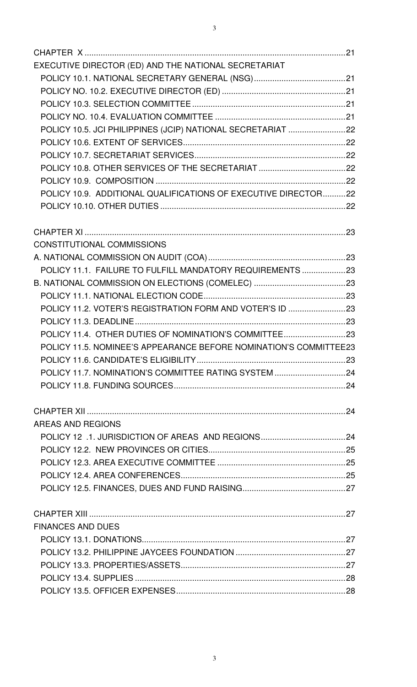| EXECUTIVE DIRECTOR (ED) AND THE NATIONAL SECRETARIAT              |  |
|-------------------------------------------------------------------|--|
|                                                                   |  |
|                                                                   |  |
|                                                                   |  |
|                                                                   |  |
| POLICY 10.5. JCI PHILIPPINES (JCIP) NATIONAL SECRETARIAT 22       |  |
|                                                                   |  |
|                                                                   |  |
|                                                                   |  |
|                                                                   |  |
| POLICY 10.9. ADDITIONAL QUALIFICATIONS OF EXECUTIVE DIRECTOR22    |  |
|                                                                   |  |
|                                                                   |  |
|                                                                   |  |
| <b>CONSTITUTIONAL COMMISSIONS</b>                                 |  |
| POLICY 11.1. FAILURE TO FULFILL MANDATORY REQUIREMENTS 23         |  |
|                                                                   |  |
|                                                                   |  |
| POLICY 11.2. VOTER'S REGISTRATION FORM AND VOTER'S ID 23          |  |
|                                                                   |  |
|                                                                   |  |
| POLICY 11.5. NOMINEE'S APPEARANCE BEFORE NOMINATION'S COMMITTEE23 |  |
|                                                                   |  |
|                                                                   |  |
|                                                                   |  |
|                                                                   |  |
|                                                                   |  |
| AREAS AND REGIONS                                                 |  |
|                                                                   |  |
|                                                                   |  |
|                                                                   |  |
|                                                                   |  |
|                                                                   |  |
|                                                                   |  |
|                                                                   |  |
| <b>FINANCES AND DUES</b>                                          |  |
|                                                                   |  |
|                                                                   |  |
|                                                                   |  |
|                                                                   |  |
|                                                                   |  |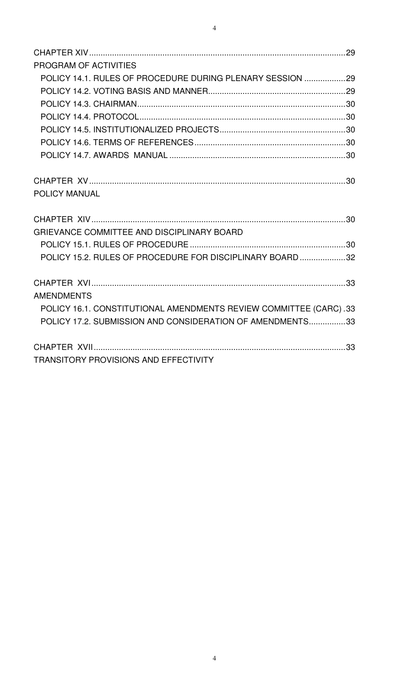| PROGRAM OF ACTIVITIES                                                                                                          |  |
|--------------------------------------------------------------------------------------------------------------------------------|--|
| POLICY 14.1. RULES OF PROCEDURE DURING PLENARY SESSION 29                                                                      |  |
|                                                                                                                                |  |
|                                                                                                                                |  |
|                                                                                                                                |  |
|                                                                                                                                |  |
|                                                                                                                                |  |
|                                                                                                                                |  |
| POLICY MANUAL                                                                                                                  |  |
|                                                                                                                                |  |
| GRIEVANCE COMMITTEE AND DISCIPLINARY BOARD                                                                                     |  |
|                                                                                                                                |  |
| POLICY 15.2. RULES OF PROCEDURE FOR DISCIPLINARY BOARD 32                                                                      |  |
|                                                                                                                                |  |
| <b>AMENDMENTS</b>                                                                                                              |  |
| POLICY 16.1. CONSTITUTIONAL AMENDMENTS REVIEW COMMITTEE (CARC).33<br>POLICY 17.2. SUBMISSION AND CONSIDERATION OF AMENDMENTS33 |  |
| TRANSITORY PROVISIONS AND EFFECTIVITY                                                                                          |  |
|                                                                                                                                |  |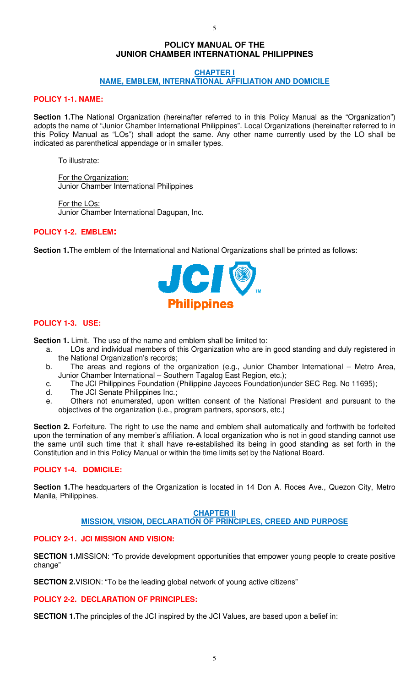# **POLICY MANUAL OF THE JUNIOR CHAMBER INTERNATIONAL PHILIPPINES**

5

### **CHAPTER I NAME, EMBLEM, INTERNATIONAL AFFILIATION AND DOMICILE**

# **POLICY 1-1. NAME:**

Section 1. The National Organization (hereinafter referred to in this Policy Manual as the "Organization") adopts the name of "Junior Chamber International Philippines". Local Organizations (hereinafter referred to in this Policy Manual as "LOs") shall adopt the same. Any other name currently used by the LO shall be indicated as parenthetical appendage or in smaller types.

To illustrate:

For the Organization: Junior Chamber International Philippines

For the LOs: Junior Chamber International Dagupan, Inc.

# **POLICY 1-2. EMBLEM:**

**Section 1.**The emblem of the International and National Organizations shall be printed as follows:



# **POLICY 1-3. USE:**

**Section 1.** Limit. The use of the name and emblem shall be limited to:

- a. LOs and individual members of this Organization who are in good standing and duly registered in the National Organization's records;
- b. The areas and regions of the organization (e.g., Junior Chamber International Metro Area, Junior Chamber International – Southern Tagalog East Region, etc.);
- c. The JCI Philippines Foundation (Philippine Jaycees Foundation)under SEC Reg. No 11695);
- d. The JCI Senate Philippines Inc.;
- e. Others not enumerated, upon written consent of the National President and pursuant to the objectives of the organization (i.e., program partners, sponsors, etc.)

**Section 2.** Forfeiture. The right to use the name and emblem shall automatically and forthwith be forfeited upon the termination of any member's affiliation. A local organization who is not in good standing cannot use the same until such time that it shall have re-established its being in good standing as set forth in the Constitution and in this Policy Manual or within the time limits set by the National Board.

# **POLICY 1-4. DOMICILE:**

**Section 1.**The headquarters of the Organization is located in 14 Don A. Roces Ave., Quezon City, Metro Manila, Philippines.

# **CHAPTER II**

# **MISSION, VISION, DECLARATION OF PRINCIPLES, CREED AND PURPOSE**

# **POLICY 2-1. JCI MISSION AND VISION:**

**SECTION 1.**MISSION: "To provide development opportunities that empower young people to create positive change"

**SECTION 2.** VISION: "To be the leading global network of young active citizens"

# **POLICY 2-2. DECLARATION OF PRINCIPLES:**

**SECTION 1.** The principles of the JCI inspired by the JCI Values, are based upon a belief in: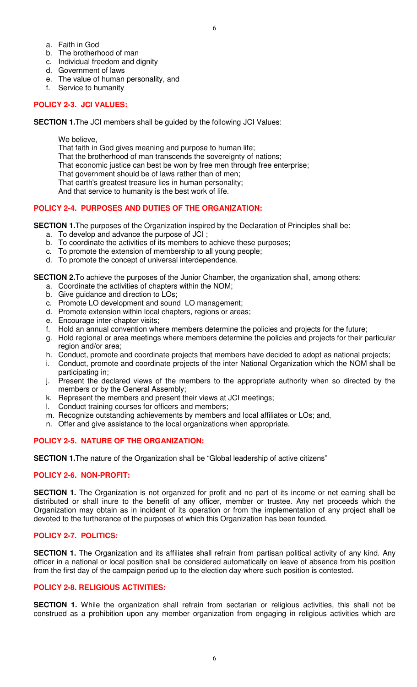- a. Faith in God
- b. The brotherhood of man
- c. Individual freedom and dignity
- d. Government of laws
- e. The value of human personality, and
- f. Service to humanity

# **POLICY 2-3. JCI VALUES:**

**SECTION 1.**The JCI members shall be guided by the following JCI Values:

We believe.

That faith in God gives meaning and purpose to human life;

- That the brotherhood of man transcends the sovereignty of nations;
- That economic justice can best be won by free men through free enterprise;

That government should be of laws rather than of men;

That earth's greatest treasure lies in human personality;

And that service to humanity is the best work of life.

# **POLICY 2-4. PURPOSES AND DUTIES OF THE ORGANIZATION:**

**SECTION 1.**The purposes of the Organization inspired by the Declaration of Principles shall be:

- a. To develop and advance the purpose of JCI ;
- b. To coordinate the activities of its members to achieve these purposes;
- c. To promote the extension of membership to all young people;
- d. To promote the concept of universal interdependence.

**SECTION 2.** To achieve the purposes of the Junior Chamber, the organization shall, among others:

- a. Coordinate the activities of chapters within the NOM;
- b. Give guidance and direction to LOs;
- c. Promote LO development and sound LO management;
- d. Promote extension within local chapters, regions or areas;
- e. Encourage inter-chapter visits;
- f. Hold an annual convention where members determine the policies and projects for the future;
- g. Hold regional or area meetings where members determine the policies and projects for their particular region and/or area;
- h. Conduct, promote and coordinate projects that members have decided to adopt as national projects;
- i. Conduct, promote and coordinate projects of the inter National Organization which the NOM shall be participating in;
- j. Present the declared views of the members to the appropriate authority when so directed by the members or by the General Assembly;
- k. Represent the members and present their views at JCI meetings;
- l. Conduct training courses for officers and members;
- m. Recognize outstanding achievements by members and local affiliates or LOs; and,
- n. Offer and give assistance to the local organizations when appropriate.

# **POLICY 2-5. NATURE OF THE ORGANIZATION:**

**SECTION 1.**The nature of the Organization shall be "Global leadership of active citizens"

# **POLICY 2-6. NON-PROFIT:**

**SECTION 1.** The Organization is not organized for profit and no part of its income or net earning shall be distributed or shall inure to the benefit of any officer, member or trustee. Any net proceeds which the Organization may obtain as in incident of its operation or from the implementation of any project shall be devoted to the furtherance of the purposes of which this Organization has been founded.

# **POLICY 2-7. POLITICS:**

**SECTION 1.** The Organization and its affiliates shall refrain from partisan political activity of any kind. Any officer in a national or local position shall be considered automatically on leave of absence from his position from the first day of the campaign period up to the election day where such position is contested.

# **POLICY 2-8. RELIGIOUS ACTIVITIES:**

**SECTION 1.** While the organization shall refrain from sectarian or religious activities, this shall not be construed as a prohibition upon any member organization from engaging in religious activities which are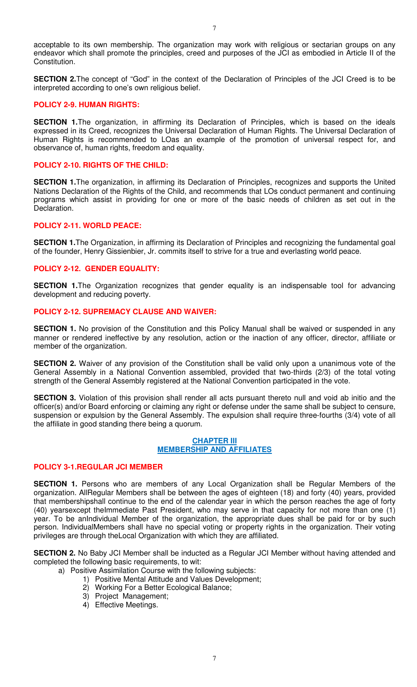acceptable to its own membership. The organization may work with religious or sectarian groups on any endeavor which shall promote the principles, creed and purposes of the JCI as embodied in Article II of the Constitution.

**SECTION 2.**The concept of "God" in the context of the Declaration of Principles of the JCI Creed is to be interpreted according to one's own religious belief.

## **POLICY 2-9. HUMAN RIGHTS:**

**SECTION 1.**The organization, in affirming its Declaration of Principles, which is based on the ideals expressed in its Creed, recognizes the Universal Declaration of Human Rights. The Universal Declaration of Human Rights is recommended to LOas an example of the promotion of universal respect for, and observance of, human rights, freedom and equality.

## **POLICY 2-10. RIGHTS OF THE CHILD:**

**SECTION 1.**The organization, in affirming its Declaration of Principles, recognizes and supports the United Nations Declaration of the Rights of the Child, and recommends that LOs conduct permanent and continuing programs which assist in providing for one or more of the basic needs of children as set out in the Declaration.

## **POLICY 2-11. WORLD PEACE:**

**SECTION 1.**The Organization, in affirming its Declaration of Principles and recognizing the fundamental goal of the founder, Henry Gissienbier, Jr. commits itself to strive for a true and everlasting world peace.

## **POLICY 2-12. GENDER EQUALITY:**

**SECTION 1.**The Organization recognizes that gender equality is an indispensable tool for advancing development and reducing poverty.

## **POLICY 2-12. SUPREMACY CLAUSE AND WAIVER:**

**SECTION 1.** No provision of the Constitution and this Policy Manual shall be waived or suspended in any manner or rendered ineffective by any resolution, action or the inaction of any officer, director, affiliate or member of the organization.

**SECTION 2.** Waiver of any provision of the Constitution shall be valid only upon a unanimous vote of the General Assembly in a National Convention assembled, provided that two-thirds (2/3) of the total voting strength of the General Assembly registered at the National Convention participated in the vote.

**SECTION 3.** Violation of this provision shall render all acts pursuant thereto null and void ab initio and the officer(s) and/or Board enforcing or claiming any right or defense under the same shall be subject to censure, suspension or expulsion by the General Assembly. The expulsion shall require three-fourths (3/4) vote of all the affiliate in good standing there being a quorum.

### **CHAPTER III MEMBERSHIP AND AFFILIATES**

### **POLICY 3-1.REGULAR JCI MEMBER**

**SECTION 1.** Persons who are members of any Local Organization shall be Regular Members of the organization. AllRegular Members shall be between the ages of eighteen (18) and forty (40) years, provided that membershipshall continue to the end of the calendar year in which the person reaches the age of forty (40) yearsexcept theImmediate Past President, who may serve in that capacity for not more than one (1) year. To be anIndividual Member of the organization, the appropriate dues shall be paid for or by such person. IndividualMembers shall have no special voting or property rights in the organization. Their voting privileges are through theLocal Organization with which they are affiliated.

**SECTION 2.** No Baby JCI Member shall be inducted as a Regular JCI Member without having attended and completed the following basic requirements, to wit:

- a) Positive Assimilation Course with the following subjects:
	- 1) Positive Mental Attitude and Values Development;
	- 2) Working For a Better Ecological Balance;
	- 3) Project Management;
	- 4) Effective Meetings.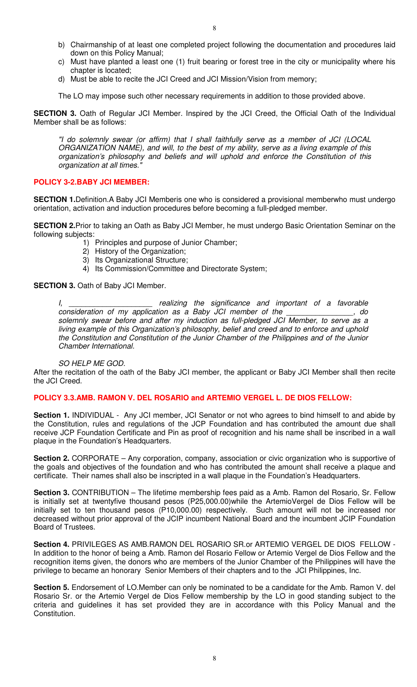- b) Chairmanship of at least one completed project following the documentation and procedures laid down on this Policy Manual;
- c) Must have planted a least one (1) fruit bearing or forest tree in the city or municipality where his chapter is located;
- d) Must be able to recite the JCI Creed and JCI Mission/Vision from memory;

The LO may impose such other necessary requirements in addition to those provided above.

**SECTION 3.** Oath of Regular JCI Member. Inspired by the JCI Creed, the Official Oath of the Individual Member shall be as follows:

"I do solemnly swear (or affirm) that I shall faithfully serve as a member of JCI (LOCAL ORGANIZATION NAME), and will, to the best of my ability, serve as a living example of this organization's philosophy and beliefs and will uphold and enforce the Constitution of this organization at all times."

## **POLICY 3-2.BABY JCI MEMBER:**

**SECTION 1.**Definition.A Baby JCI Memberis one who is considered a provisional memberwho must undergo orientation, activation and induction procedures before becoming a full-pledged member.

**SECTION 2.**Prior to taking an Oath as Baby JCI Member, he must undergo Basic Orientation Seminar on the following subjects:

- 1) Principles and purpose of Junior Chamber;
- 2) History of the Organization;
- 3) Its Organizational Structure;
- 4) Its Commission/Committee and Directorate System;

**SECTION 3. Oath of Baby JCI Member.** 

I, \_\_\_\_\_\_\_\_\_\_\_\_\_\_\_\_\_\_\_\_\_\_\_\_\_ realizing the significance and important of a favorable consideration of my application as a Baby JCI member of the consideration of my application as a Baby JCI member of the solemnly swear before and after my induction as full-pledged JCI Member, to serve as a living example of this Organization's philosophy, belief and creed and to enforce and uphold the Constitution and Constitution of the Junior Chamber of the Philippines and of the Junior Chamber International.

### SO HELP ME GOD.

After the recitation of the oath of the Baby JCI member, the applicant or Baby JCI Member shall then recite the JCI Creed.

### **POLICY 3.3.AMB. RAMON V. DEL ROSARIO and ARTEMIO VERGEL L. DE DIOS FELLOW:**

**Section 1.** INDIVIDUAL - Any JCI member, JCI Senator or not who agrees to bind himself to and abide by the Constitution, rules and regulations of the JCP Foundation and has contributed the amount due shall receive JCP Foundation Certificate and Pin as proof of recognition and his name shall be inscribed in a wall plaque in the Foundation's Headquarters.

**Section 2.** CORPORATE – Any corporation, company, association or civic organization who is supportive of the goals and objectives of the foundation and who has contributed the amount shall receive a plaque and certificate. Their names shall also be inscripted in a wall plaque in the Foundation's Headquarters.

**Section 3.** CONTRIBUTION – The lifetime membership fees paid as a Amb. Ramon del Rosario, Sr. Fellow is initially set at twentyfive thousand pesos (P25,000.00)while the ArtemioVergel de Dios Fellow will be initially set to ten thousand pesos (P10,000.00) respectively. Such amount will not be increased nor decreased without prior approval of the JCIP incumbent National Board and the incumbent JCIP Foundation Board of Trustees.

**Section 4.** PRIVILEGES AS AMB.RAMON DEL ROSARIO SR.or ARTEMIO VERGEL DE DIOS FELLOW - In addition to the honor of being a Amb. Ramon del Rosario Fellow or Artemio Vergel de Dios Fellow and the recognition items given, the donors who are members of the Junior Chamber of the Philippines will have the privilege to became an honorary Senior Members of their chapters and to the JCI Philippines, Inc.

**Section 5.** Endorsement of LO.Member can only be nominated to be a candidate for the Amb. Ramon V. del Rosario Sr. or the Artemio Vergel de Dios Fellow membership by the LO in good standing subject to the criteria and guidelines it has set provided they are in accordance with this Policy Manual and the Constitution.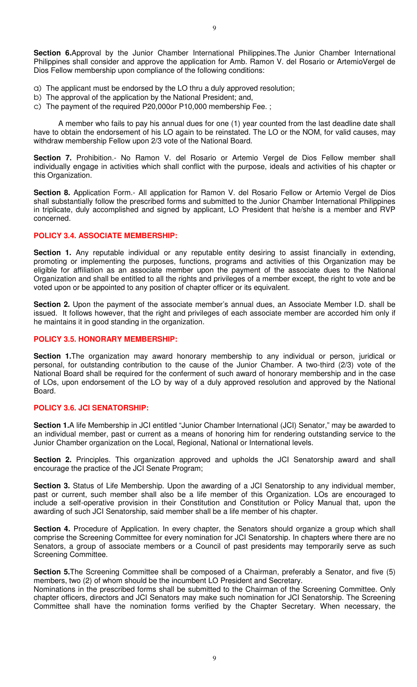**Section 6.**Approval by the Junior Chamber International Philippines.The Junior Chamber International Philippines shall consider and approve the application for Amb. Ramon V. del Rosario or ArtemioVergel de Dios Fellow membership upon compliance of the following conditions:

- a) The applicant must be endorsed by the LO thru a duly approved resolution;
- b) The approval of the application by the National President; and,
- c) The payment of the required P20,000or P10,000 membership Fee. ;

A member who fails to pay his annual dues for one (1) year counted from the last deadline date shall have to obtain the endorsement of his LO again to be reinstated. The LO or the NOM, for valid causes, may withdraw membership Fellow upon 2/3 vote of the National Board.

**Section 7.** Prohibition.- No Ramon V. del Rosario or Artemio Vergel de Dios Fellow member shall individually engage in activities which shall conflict with the purpose, ideals and activities of his chapter or this Organization.

Section 8. Application Form.- All application for Ramon V. del Rosario Fellow or Artemio Vergel de Dios shall substantially follow the prescribed forms and submitted to the Junior Chamber International Philippines in triplicate, duly accomplished and signed by applicant, LO President that he/she is a member and RVP concerned.

## **POLICY 3.4. ASSOCIATE MEMBERSHIP:**

Section 1. Any reputable individual or any reputable entity desiring to assist financially in extending, promoting or implementing the purposes, functions, programs and activities of this Organization may be eligible for affiliation as an associate member upon the payment of the associate dues to the National Organization and shall be entitled to all the rights and privileges of a member except, the right to vote and be voted upon or be appointed to any position of chapter officer or its equivalent.

**Section 2.** Upon the payment of the associate member's annual dues, an Associate Member I.D. shall be issued. It follows however, that the right and privileges of each associate member are accorded him only if he maintains it in good standing in the organization.

## **POLICY 3.5. HONORARY MEMBERSHIP:**

**Section 1.**The organization may award honorary membership to any individual or person, juridical or personal, for outstanding contribution to the cause of the Junior Chamber. A two-third (2/3) vote of the National Board shall be required for the conferment of such award of honorary membership and in the case of LOs, upon endorsement of the LO by way of a duly approved resolution and approved by the National Board.

### **POLICY 3.6. JCI SENATORSHIP:**

**Section 1.**A life Membership in JCI entitled "Junior Chamber International (JCI) Senator," may be awarded to an individual member, past or current as a means of honoring him for rendering outstanding service to the Junior Chamber organization on the Local, Regional, National or International levels.

**Section 2.** Principles. This organization approved and upholds the JCI Senatorship award and shall encourage the practice of the JCI Senate Program;

**Section 3.** Status of Life Membership. Upon the awarding of a JCI Senatorship to any individual member, past or current, such member shall also be a life member of this Organization. LOs are encouraged to include a self-operative provision in their Constitution and Constitution or Policy Manual that, upon the awarding of such JCI Senatorship, said member shall be a life member of his chapter.

**Section 4.** Procedure of Application. In every chapter, the Senators should organize a group which shall comprise the Screening Committee for every nomination for JCI Senatorship. In chapters where there are no Senators, a group of associate members or a Council of past presidents may temporarily serve as such Screening Committee.

**Section 5.**The Screening Committee shall be composed of a Chairman, preferably a Senator, and five (5) members, two (2) of whom should be the incumbent LO President and Secretary.

Nominations in the prescribed forms shall be submitted to the Chairman of the Screening Committee. Only chapter officers, directors and JCI Senators may make such nomination for JCI Senatorship. The Screening Committee shall have the nomination forms verified by the Chapter Secretary. When necessary, the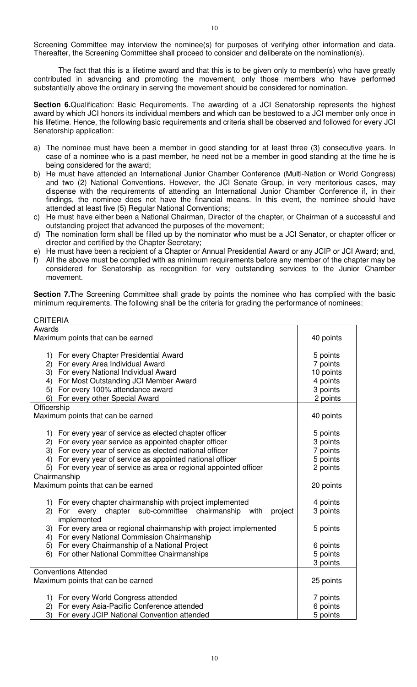Screening Committee may interview the nominee(s) for purposes of verifying other information and data. Thereafter, the Screening Committee shall proceed to consider and deliberate on the nomination(s).

The fact that this is a lifetime award and that this is to be given only to member(s) who have greatly contributed in advancing and promoting the movement, only those members who have performed substantially above the ordinary in serving the movement should be considered for nomination.

**Section 6.**Qualification: Basic Requirements. The awarding of a JCI Senatorship represents the highest award by which JCI honors its individual members and which can be bestowed to a JCI member only once in his lifetime. Hence, the following basic requirements and criteria shall be observed and followed for every JCI Senatorship application:

- a) The nominee must have been a member in good standing for at least three (3) consecutive years. In case of a nominee who is a past member, he need not be a member in good standing at the time he is being considered for the award;
- b) He must have attended an International Junior Chamber Conference (Multi-Nation or World Congress) and two (2) National Conventions. However, the JCI Senate Group, in very meritorious cases, may dispense with the requirements of attending an International Junior Chamber Conference if, in their findings, the nominee does not have the financial means. In this event, the nominee should have attended at least five (5) Regular National Conventions;
- c) He must have either been a National Chairman, Director of the chapter, or Chairman of a successful and outstanding project that advanced the purposes of the movement;
- d) The nomination form shall be filled up by the nominator who must be a JCI Senator, or chapter officer or director and certified by the Chapter Secretary;
- e) He must have been a recipient of a Chapter or Annual Presidential Award or any JCIP or JCI Award; and, f) All the above must be complied with as minimum requirements before any member of the chapter may be
- considered for Senatorship as recognition for very outstanding services to the Junior Chamber movement.

Section 7. The Screening Committee shall grade by points the nominee who has complied with the basic minimum requirements. The following shall be the criteria for grading the performance of nominees:

| <b>CRITERIA</b>                                                             |           |
|-----------------------------------------------------------------------------|-----------|
| Awards                                                                      |           |
| Maximum points that can be earned                                           | 40 points |
|                                                                             |           |
| 1) For every Chapter Presidential Award                                     | 5 points  |
| For every Area Individual Award<br>2)                                       | 7 points  |
| For every National Individual Award<br>3)                                   | 10 points |
| For Most Outstanding JCI Member Award<br>4)                                 | 4 points  |
| For every 100% attendance award<br>5)                                       | 3 points  |
| For every other Special Award<br>6)                                         | 2 points  |
| Officership                                                                 |           |
| Maximum points that can be earned                                           | 40 points |
|                                                                             |           |
| 1) For every year of service as elected chapter officer                     | 5 points  |
| For every year service as appointed chapter officer<br>2)                   | 3 points  |
| 3)<br>For every year of service as elected national officer                 | 7 points  |
| For every year of service as appointed national officer<br>4)               | 5 points  |
| For every year of service as area or regional appointed officer<br>5)       | 2 points  |
| Chairmanship                                                                |           |
| Maximum points that can be earned                                           | 20 points |
|                                                                             |           |
| 1) For every chapter chairmanship with project implemented                  | 4 points  |
| chapter sub-committee chairmanship<br>2)<br>For<br>every<br>with<br>project | 3 points  |
| implemented                                                                 |           |
| 3) For every area or regional chairmanship with project implemented         | 5 points  |
| For every National Commission Chairmanship<br>4)                            |           |
| For every Chairmanship of a National Project<br>5)                          | 6 points  |
| For other National Committee Chairmanships<br>6)                            | 5 points  |
|                                                                             | 3 points  |
| <b>Conventions Attended</b>                                                 |           |
| Maximum points that can be earned                                           | 25 points |
|                                                                             |           |
| For every World Congress attended<br>1)                                     | 7 points  |
| For every Asia-Pacific Conference attended<br>2)                            | 6 points  |
| 3)<br>For every JCIP National Convention attended                           | 5 points  |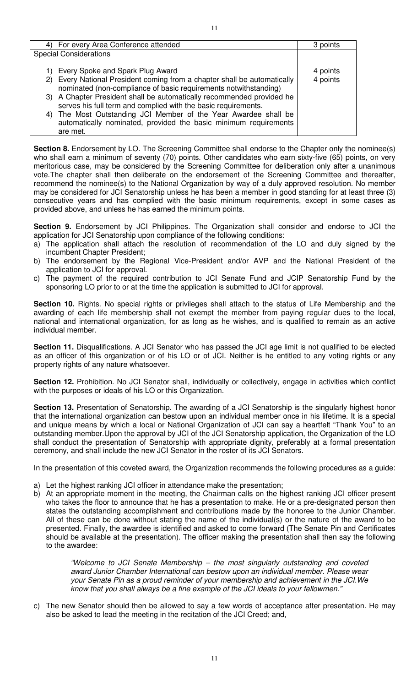| For every Area Conference attended                                                                                                              | 3 points             |
|-------------------------------------------------------------------------------------------------------------------------------------------------|----------------------|
| <b>Special Considerations</b>                                                                                                                   |                      |
| 1) Every Spoke and Spark Plug Award<br>2) Every National President coming from a chapter shall be automatically                                 | 4 points<br>4 points |
| nominated (non-compliance of basic requirements notwithstanding)                                                                                |                      |
| 3) A Chapter President shall be automatically recommended provided he<br>serves his full term and complied with the basic requirements.         |                      |
| 4) The Most Outstanding JCI Member of the Year Awardee shall be<br>automatically nominated, provided the basic minimum requirements<br>are met. |                      |

**Section 8.** Endorsement by LO. The Screening Committee shall endorse to the Chapter only the nominee(s) who shall earn a minimum of seventy (70) points. Other candidates who earn sixty-five (65) points, on very meritorious case, may be considered by the Screening Committee for deliberation only after a unanimous vote.The chapter shall then deliberate on the endorsement of the Screening Committee and thereafter, recommend the nominee(s) to the National Organization by way of a duly approved resolution. No member may be considered for JCI Senatorship unless he has been a member in good standing for at least three (3) consecutive years and has complied with the basic minimum requirements, except in some cases as provided above, and unless he has earned the minimum points.

**Section 9.** Endorsement by JCI Philippines. The Organization shall consider and endorse to JCI the application for JCI Senatorship upon compliance of the following conditions:

- a) The application shall attach the resolution of recommendation of the LO and duly signed by the incumbent Chapter President;
- b) The endorsement by the Regional Vice-President and/or AVP and the National President of the application to JCI for approval.
- c) The payment of the required contribution to JCI Senate Fund and JCIP Senatorship Fund by the sponsoring LO prior to or at the time the application is submitted to JCI for approval.

**Section 10.** Rights. No special rights or privileges shall attach to the status of Life Membership and the awarding of each life membership shall not exempt the member from paying regular dues to the local, national and international organization, for as long as he wishes, and is qualified to remain as an active individual member.

**Section 11.** Disqualifications. A JCI Senator who has passed the JCI age limit is not qualified to be elected as an officer of this organization or of his LO or of JCI. Neither is he entitled to any voting rights or any property rights of any nature whatsoever.

**Section 12.** Prohibition. No JCI Senator shall, individually or collectively, engage in activities which conflict with the purposes or ideals of his LO or this Organization.

**Section 13.** Presentation of Senatorship. The awarding of a JCI Senatorship is the singularly highest honor that the international organization can bestow upon an individual member once in his lifetime. It is a special and unique means by which a local or National Organization of JCI can say a heartfelt "Thank You" to an outstanding member.Upon the approval by JCI of the JCI Senatorship application, the Organization of the LO shall conduct the presentation of Senatorship with appropriate dignity, preferably at a formal presentation ceremony, and shall include the new JCI Senator in the roster of its JCI Senators.

In the presentation of this coveted award, the Organization recommends the following procedures as a guide:

- a) Let the highest ranking JCI officer in attendance make the presentation;
- b) At an appropriate moment in the meeting, the Chairman calls on the highest ranking JCI officer present who takes the floor to announce that he has a presentation to make. He or a pre-designated person then states the outstanding accomplishment and contributions made by the honoree to the Junior Chamber. All of these can be done without stating the name of the individual(s) or the nature of the award to be presented. Finally, the awardee is identified and asked to come forward (The Senate Pin and Certificates should be available at the presentation). The officer making the presentation shall then say the following to the awardee:

"Welcome to JCI Senate Membership – the most singularly outstanding and coveted award Junior Chamber International can bestow upon an individual member. Please wear your Senate Pin as a proud reminder of your membership and achievement in the JCI.We know that you shall always be a fine example of the JCI ideals to your fellowmen."

c) The new Senator should then be allowed to say a few words of acceptance after presentation. He may also be asked to lead the meeting in the recitation of the JCI Creed; and,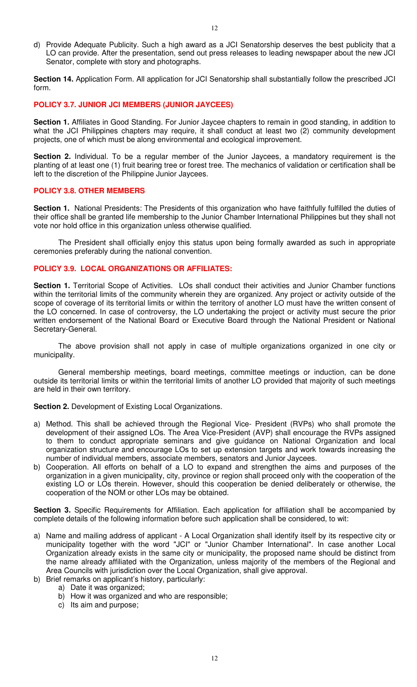d) Provide Adequate Publicity. Such a high award as a JCI Senatorship deserves the best publicity that a LO can provide. After the presentation, send out press releases to leading newspaper about the new JCI Senator, complete with story and photographs.

**Section 14.** Application Form. All application for JCI Senatorship shall substantially follow the prescribed JCI form.

## **POLICY 3.7. JUNIOR JCI MEMBERS (JUNIOR JAYCEES)**

**Section 1.** Affiliates in Good Standing. For Junior Jaycee chapters to remain in good standing, in addition to what the JCI Philippines chapters may require, it shall conduct at least two (2) community development projects, one of which must be along environmental and ecological improvement.

**Section 2.** Individual. To be a regular member of the Junior Jaycees, a mandatory requirement is the planting of at least one (1) fruit bearing tree or forest tree. The mechanics of validation or certification shall be left to the discretion of the Philippine Junior Jaycees.

## **POLICY 3.8. OTHER MEMBERS**

**Section 1.** National Presidents: The Presidents of this organization who have faithfully fulfilled the duties of their office shall be granted life membership to the Junior Chamber International Philippines but they shall not vote nor hold office in this organization unless otherwise qualified.

 The President shall officially enjoy this status upon being formally awarded as such in appropriate ceremonies preferably during the national convention.

## **POLICY 3.9. LOCAL ORGANIZATIONS OR AFFILIATES:**

**Section 1.** Territorial Scope of Activities. LOs shall conduct their activities and Junior Chamber functions within the territorial limits of the community wherein they are organized. Any project or activity outside of the scope of coverage of its territorial limits or within the territory of another LO must have the written consent of the LO concerned. In case of controversy, the LO undertaking the project or activity must secure the prior written endorsement of the National Board or Executive Board through the National President or National Secretary-General.

 The above provision shall not apply in case of multiple organizations organized in one city or municipality.

General membership meetings, board meetings, committee meetings or induction, can be done outside its territorial limits or within the territorial limits of another LO provided that majority of such meetings are held in their own territory.

**Section 2.** Development of Existing Local Organizations.

- a) Method. This shall be achieved through the Regional Vice- President (RVPs) who shall promote the development of their assigned LOs. The Area Vice-President (AVP) shall encourage the RVPs assigned to them to conduct appropriate seminars and give guidance on National Organization and local organization structure and encourage LOs to set up extension targets and work towards increasing the number of individual members, associate members, senators and Junior Jaycees.
- b) Cooperation. All efforts on behalf of a LO to expand and strengthen the aims and purposes of the organization in a given municipality, city, province or region shall proceed only with the cooperation of the existing LO or LOs therein. However, should this cooperation be denied deliberately or otherwise, the cooperation of the NOM or other LOs may be obtained.

**Section 3.** Specific Requirements for Affiliation. Each application for affiliation shall be accompanied by complete details of the following information before such application shall be considered, to wit:

- a) Name and mailing address of applicant A Local Organization shall identify itself by its respective city or municipality together with the word "JCI" or "Junior Chamber International". In case another Local Organization already exists in the same city or municipality, the proposed name should be distinct from the name already affiliated with the Organization, unless majority of the members of the Regional and Area Councils with jurisdiction over the Local Organization, shall give approval.
- b) Brief remarks on applicant's history, particularly:
	- a) Date it was organized;
	- b) How it was organized and who are responsible;
	- c) Its aim and purpose;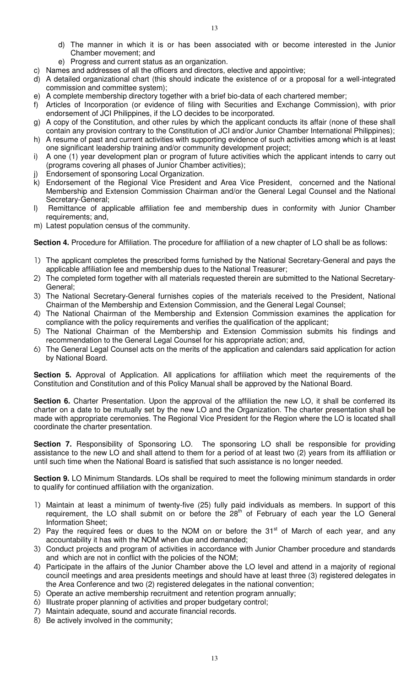- d) The manner in which it is or has been associated with or become interested in the Junior Chamber movement; and
- e) Progress and current status as an organization.
- c) Names and addresses of all the officers and directors, elective and appointive;
- d) A detailed organizational chart (this should indicate the existence of or a proposal for a well-integrated commission and committee system);
- e) A complete membership directory together with a brief bio-data of each chartered member;
- f) Articles of Incorporation (or evidence of filing with Securities and Exchange Commission), with prior endorsement of JCI Philippines, if the LO decides to be incorporated.
- g) A copy of the Constitution, and other rules by which the applicant conducts its affair (none of these shall contain any provision contrary to the Constitution of JCI and/or Junior Chamber International Philippines);
- h) A resume of past and current activities with supporting evidence of such activities among which is at least one significant leadership training and/or community development project;
- i) A one (1) year development plan or program of future activities which the applicant intends to carry out (programs covering all phases of Junior Chamber activities);
- Endorsement of sponsoring Local Organization.
- k) Endorsement of the Regional Vice President and Area Vice President, concerned and the National Membership and Extension Commission Chairman and/or the General Legal Counsel and the National Secretary-General;
- l) Remittance of applicable affiliation fee and membership dues in conformity with Junior Chamber requirements; and,
- m) Latest population census of the community.

Section 4. Procedure for Affiliation. The procedure for affiliation of a new chapter of LO shall be as follows:

- 1) The applicant completes the prescribed forms furnished by the National Secretary-General and pays the applicable affiliation fee and membership dues to the National Treasurer;
- 2) The completed form together with all materials requested therein are submitted to the National Secretary-General;
- 3) The National Secretary-General furnishes copies of the materials received to the President, National Chairman of the Membership and Extension Commission, and the General Legal Counsel;
- 4) The National Chairman of the Membership and Extension Commission examines the application for compliance with the policy requirements and verifies the qualification of the applicant;
- 5) The National Chairman of the Membership and Extension Commission submits his findings and recommendation to the General Legal Counsel for his appropriate action; and,
- 6) The General Legal Counsel acts on the merits of the application and calendars said application for action by National Board.

**Section 5.** Approval of Application. All applications for affiliation which meet the requirements of the Constitution and Constitution and of this Policy Manual shall be approved by the National Board.

Section 6. Charter Presentation. Upon the approval of the affiliation the new LO, it shall be conferred its charter on a date to be mutually set by the new LO and the Organization. The charter presentation shall be made with appropriate ceremonies. The Regional Vice President for the Region where the LO is located shall coordinate the charter presentation.

**Section 7.** Responsibility of Sponsoring LO. The sponsoring LO shall be responsible for providing assistance to the new LO and shall attend to them for a period of at least two (2) years from its affiliation or until such time when the National Board is satisfied that such assistance is no longer needed.

**Section 9.** LO Minimum Standards. LOs shall be required to meet the following minimum standards in order to qualify for continued affiliation with the organization.

- 1) Maintain at least a minimum of twenty-five (25) fully paid individuals as members. In support of this requirement, the LO shall submit on or before the  $28<sup>th</sup>$  of February of each year the LO General Information Sheet;
- 2) Pay the required fees or dues to the NOM on or before the  $31<sup>st</sup>$  of March of each year, and any accountability it has with the NOM when due and demanded;
- 3) Conduct projects and program of activities in accordance with Junior Chamber procedure and standards and which are not in conflict with the policies of the NOM;
- 4) Participate in the affairs of the Junior Chamber above the LO level and attend in a majority of regional council meetings and area presidents meetings and should have at least three (3) registered delegates in the Area Conference and two (2) registered delegates in the national convention;
- 5) Operate an active membership recruitment and retention program annually;
- 6) Illustrate proper planning of activities and proper budgetary control;
- 7) Maintain adequate, sound and accurate financial records.
- 8) Be actively involved in the community;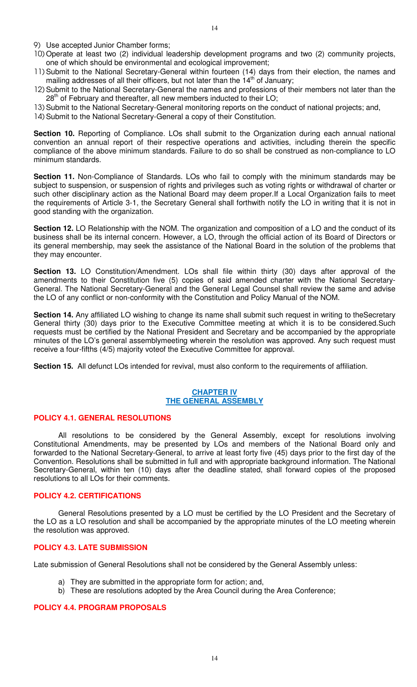- 9) Use accepted Junior Chamber forms;
- 10) Operate at least two (2) individual leadership development programs and two (2) community projects, one of which should be environmental and ecological improvement;
- 11) Submit to the National Secretary-General within fourteen (14) days from their election, the names and mailing addresses of all their officers, but not later than the  $14<sup>th</sup>$  of January;
- 12) Submit to the National Secretary-General the names and professions of their members not later than the  $28<sup>th</sup>$  of February and thereafter, all new members inducted to their LO;
- 13) Submit to the National Secretary-General monitoring reports on the conduct of national projects; and,
- 14) Submit to the National Secretary-General a copy of their Constitution.

**Section 10.** Reporting of Compliance. LOs shall submit to the Organization during each annual national convention an annual report of their respective operations and activities, including therein the specific compliance of the above minimum standards. Failure to do so shall be construed as non-compliance to LO minimum standards.

**Section 11.** Non-Compliance of Standards. LOs who fail to comply with the minimum standards may be subject to suspension, or suspension of rights and privileges such as voting rights or withdrawal of charter or such other disciplinary action as the National Board may deem proper.If a Local Organization fails to meet the requirements of Article 3-1, the Secretary General shall forthwith notify the LO in writing that it is not in good standing with the organization.

**Section 12.** LO Relationship with the NOM. The organization and composition of a LO and the conduct of its business shall be its internal concern. However, a LO, through the official action of its Board of Directors or its general membership, may seek the assistance of the National Board in the solution of the problems that they may encounter.

**Section 13.** LO Constitution/Amendment. LOs shall file within thirty (30) days after approval of the amendments to their Constitution five (5) copies of said amended charter with the National Secretary-General. The National Secretary-General and the General Legal Counsel shall review the same and advise the LO of any conflict or non-conformity with the Constitution and Policy Manual of the NOM.

**Section 14.** Any affiliated LO wishing to change its name shall submit such request in writing to theSecretary General thirty (30) days prior to the Executive Committee meeting at which it is to be considered.Such requests must be certified by the National President and Secretary and be accompanied by the appropriate minutes of the LO's general assemblymeeting wherein the resolution was approved. Any such request must receive a four-fifths (4/5) majority voteof the Executive Committee for approval.

**Section 15.** All defunct LOs intended for revival, must also conform to the requirements of affiliation.

### **CHAPTER IV THE GENERAL ASSEMBLY**

## **POLICY 4.1. GENERAL RESOLUTIONS**

 All resolutions to be considered by the General Assembly, except for resolutions involving Constitutional Amendments, may be presented by LOs and members of the National Board only and forwarded to the National Secretary-General, to arrive at least forty five (45) days prior to the first day of the Convention. Resolutions shall be submitted in full and with appropriate background information. The National Secretary-General, within ten (10) days after the deadline stated, shall forward copies of the proposed resolutions to all LOs for their comments.

#### **POLICY 4.2. CERTIFICATIONS**

 General Resolutions presented by a LO must be certified by the LO President and the Secretary of the LO as a LO resolution and shall be accompanied by the appropriate minutes of the LO meeting wherein the resolution was approved.

### **POLICY 4.3. LATE SUBMISSION**

Late submission of General Resolutions shall not be considered by the General Assembly unless:

- a) They are submitted in the appropriate form for action; and,
- b) These are resolutions adopted by the Area Council during the Area Conference;

### **POLICY 4.4. PROGRAM PROPOSALS**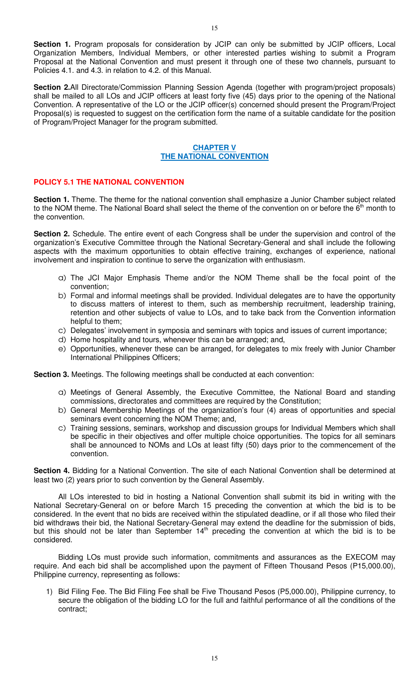**Section 1.** Program proposals for consideration by JCIP can only be submitted by JCIP officers, Local Organization Members, Individual Members, or other interested parties wishing to submit a Program Proposal at the National Convention and must present it through one of these two channels, pursuant to Policies 4.1. and 4.3. in relation to 4.2. of this Manual.

**Section 2.**All Directorate/Commission Planning Session Agenda (together with program/project proposals) shall be mailed to all LOs and JCIP officers at least forty five (45) days prior to the opening of the National Convention. A representative of the LO or the JCIP officer(s) concerned should present the Program/Project Proposal(s) is requested to suggest on the certification form the name of a suitable candidate for the position of Program/Project Manager for the program submitted.

## **CHAPTER V THE NATIONAL CONVENTION**

# **POLICY 5.1 THE NATIONAL CONVENTION**

**Section 1.** Theme. The theme for the national convention shall emphasize a Junior Chamber subject related to the NOM theme. The National Board shall select the theme of the convention on or before the 6<sup>th</sup> month to the convention.

**Section 2.** Schedule. The entire event of each Congress shall be under the supervision and control of the organization's Executive Committee through the National Secretary-General and shall include the following aspects with the maximum opportunities to obtain effective training, exchanges of experience, national involvement and inspiration to continue to serve the organization with enthusiasm.

- a) The JCI Major Emphasis Theme and/or the NOM Theme shall be the focal point of the convention;
- b) Formal and informal meetings shall be provided. Individual delegates are to have the opportunity to discuss matters of interest to them, such as membership recruitment, leadership training, retention and other subjects of value to LOs, and to take back from the Convention information helpful to them;
- c) Delegates' involvement in symposia and seminars with topics and issues of current importance;
- d) Home hospitality and tours, whenever this can be arranged; and,
- e) Opportunities, whenever these can be arranged, for delegates to mix freely with Junior Chamber International Philippines Officers;

**Section 3.** Meetings. The following meetings shall be conducted at each convention:

- a) Meetings of General Assembly, the Executive Committee, the National Board and standing commissions, directorates and committees are required by the Constitution;
- b) General Membership Meetings of the organization's four (4) areas of opportunities and special seminars event concerning the NOM Theme; and,
- c) Training sessions, seminars, workshop and discussion groups for Individual Members which shall be specific in their objectives and offer multiple choice opportunities. The topics for all seminars shall be announced to NOMs and LOs at least fifty (50) days prior to the commencement of the convention.

**Section 4.** Bidding for a National Convention. The site of each National Convention shall be determined at least two (2) years prior to such convention by the General Assembly.

All LOs interested to bid in hosting a National Convention shall submit its bid in writing with the National Secretary-General on or before March 15 preceding the convention at which the bid is to be considered. In the event that no bids are received within the stipulated deadline, or if all those who filed their bid withdraws their bid, the National Secretary-General may extend the deadline for the submission of bids, but this should not be later than September 14<sup>th</sup> preceding the convention at which the bid is to be considered.

Bidding LOs must provide such information, commitments and assurances as the EXECOM may require. And each bid shall be accomplished upon the payment of Fifteen Thousand Pesos (P15,000.00), Philippine currency, representing as follows:

1) Bid Filing Fee. The Bid Filing Fee shall be Five Thousand Pesos (P5,000.00), Philippine currency, to secure the obligation of the bidding LO for the full and faithful performance of all the conditions of the contract;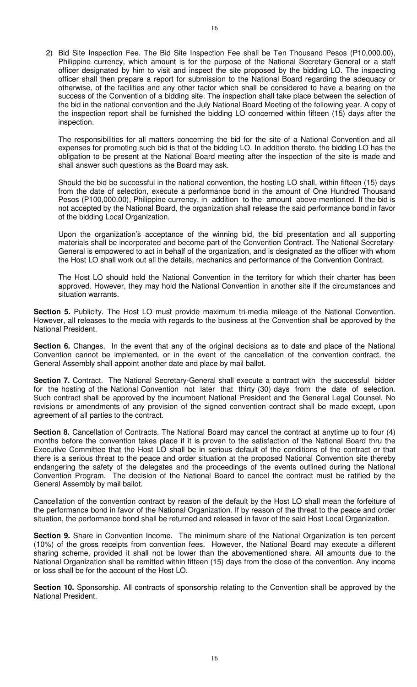2) Bid Site Inspection Fee. The Bid Site Inspection Fee shall be Ten Thousand Pesos (P10,000.00), Philippine currency, which amount is for the purpose of the National Secretary-General or a staff officer designated by him to visit and inspect the site proposed by the bidding LO. The inspecting officer shall then prepare a report for submission to the National Board regarding the adequacy or otherwise, of the facilities and any other factor which shall be considered to have a bearing on the success of the Convention of a bidding site. The inspection shall take place between the selection of the bid in the national convention and the July National Board Meeting of the following year. A copy of the inspection report shall be furnished the bidding LO concerned within fifteen (15) days after the inspection.

The responsibilities for all matters concerning the bid for the site of a National Convention and all expenses for promoting such bid is that of the bidding LO. In addition thereto, the bidding LO has the obligation to be present at the National Board meeting after the inspection of the site is made and shall answer such questions as the Board may ask.

Should the bid be successful in the national convention, the hosting LO shall, within fifteen (15) days from the date of selection, execute a performance bond in the amount of One Hundred Thousand Pesos (P100,000.00), Philippine currency, in addition to the amount above-mentioned. If the bid is not accepted by the National Board, the organization shall release the said performance bond in favor of the bidding Local Organization.

Upon the organization's acceptance of the winning bid, the bid presentation and all supporting materials shall be incorporated and become part of the Convention Contract. The National Secretary-General is empowered to act in behalf of the organization, and is designated as the officer with whom the Host LO shall work out all the details, mechanics and performance of the Convention Contract.

The Host LO should hold the National Convention in the territory for which their charter has been approved. However, they may hold the National Convention in another site if the circumstances and situation warrants.

Section 5. Publicity. The Host LO must provide maximum tri-media mileage of the National Convention. However, all releases to the media with regards to the business at the Convention shall be approved by the National President.

**Section 6.** Changes. In the event that any of the original decisions as to date and place of the National Convention cannot be implemented, or in the event of the cancellation of the convention contract, the General Assembly shall appoint another date and place by mail ballot.

Section 7. Contract. The National Secretary-General shall execute a contract with the successful bidder for the hosting of the National Convention not later that thirty (30) days from the date of selection. Such contract shall be approved by the incumbent National President and the General Legal Counsel. No revisions or amendments of any provision of the signed convention contract shall be made except, upon agreement of all parties to the contract.

**Section 8.** Cancellation of Contracts. The National Board may cancel the contract at anytime up to four (4) months before the convention takes place if it is proven to the satisfaction of the National Board thru the Executive Committee that the Host LO shall be in serious default of the conditions of the contract or that there is a serious threat to the peace and order situation at the proposed National Convention site thereby endangering the safety of the delegates and the proceedings of the events outlined during the National Convention Program. The decision of the National Board to cancel the contract must be ratified by the General Assembly by mail ballot.

Cancellation of the convention contract by reason of the default by the Host LO shall mean the forfeiture of the performance bond in favor of the National Organization. If by reason of the threat to the peace and order situation, the performance bond shall be returned and released in favor of the said Host Local Organization.

**Section 9.** Share in Convention Income. The minimum share of the National Organization is ten percent (10%) of the gross receipts from convention fees. However, the National Board may execute a different sharing scheme, provided it shall not be lower than the abovementioned share. All amounts due to the National Organization shall be remitted within fifteen (15) days from the close of the convention. Any income or loss shall be for the account of the Host LO.

**Section 10.** Sponsorship. All contracts of sponsorship relating to the Convention shall be approved by the National President.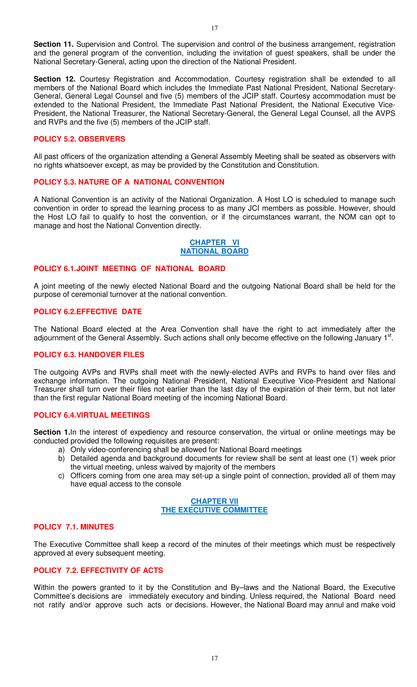**Section 11.** Supervision and Control. The supervision and control of the business arrangement, registration and the general program of the convention, including the invitation of guest speakers, shall be under the National Secretary-General, acting upon the direction of the National President.

**Section 12.** Courtesy Registration and Accommodation. Courtesy registration shall be extended to all members of the National Board which includes the Immediate Past National President, National Secretary-General, General Legal Counsel and five (5) members of the JCIP staff. Courtesy accommodation must be extended to the National President, the Immediate Past National President, the National Executive Vice-President, the National Treasurer, the National Secretary-General, the General Legal Counsel, all the AVPS and RVPs and the five (5) members of the JCIP staff.

## **POLICY 5.2. OBSERVERS**

All past officers of the organization attending a General Assembly Meeting shall be seated as observers with no rights whatsoever except, as may be provided by the Constitution and Constitution.

## **POLICY 5.3. NATURE OF A NATIONAL CONVENTION**

A National Convention is an activity of the National Organization. A Host LO is scheduled to manage such convention in order to spread the learning process to as many JCI members as possible. However, should the Host LO fail to qualify to host the convention, or if the circumstances warrant, the NOM can opt to manage and host the National Convention directly.

### **CHAPTER VI NATIONAL BOARD**

# **POLICY 6.1.JOINT MEETING OF NATIONAL BOARD**

A joint meeting of the newly elected National Board and the outgoing National Board shall be held for the purpose of ceremonial turnover at the national convention.

### **POLICY 6.2.EFFECTIVE DATE**

The National Board elected at the Area Convention shall have the right to act immediately after the adjournment of the General Assembly. Such actions shall only become effective on the following January 1<sup>st</sup>.

### **POLICY 6.3. HANDOVER FILES**

The outgoing AVPs and RVPs shall meet with the newly-elected AVPs and RVPs to hand over files and exchange information. The outgoing National President, National Executive Vice-President and National Treasurer shall turn over their files not earlier than the last day of the expiration of their term, but not later than the first regular National Board meeting of the incoming National Board.

### **POLICY 6.4.VIRTUAL MEETINGS**

**Section 1.**In the interest of expediency and resource conservation, the virtual or online meetings may be conducted provided the following requisites are present:

- a) Only video-conferencing shall be allowed for National Board meetings
- b) Detailed agenda and background documents for review shall be sent at least one (1) week prior the virtual meeting, unless waived by majority of the members
- c) Officers coming from one area may set-up a single point of connection, provided all of them may have equal access to the console

### **CHAPTER VII THE EXECUTIVE COMMITTEE**

### **POLICY 7.1. MINUTES**

The Executive Committee shall keep a record of the minutes of their meetings which must be respectively approved at every subsequent meeting.

## **POLICY 7.2. EFFECTIVITY OF ACTS**

Within the powers granted to it by the Constitution and By–laws and the National Board, the Executive Committee's decisions are immediately executory and binding. Unless required, the National Board need not ratify and/or approve such acts or decisions. However, the National Board may annul and make void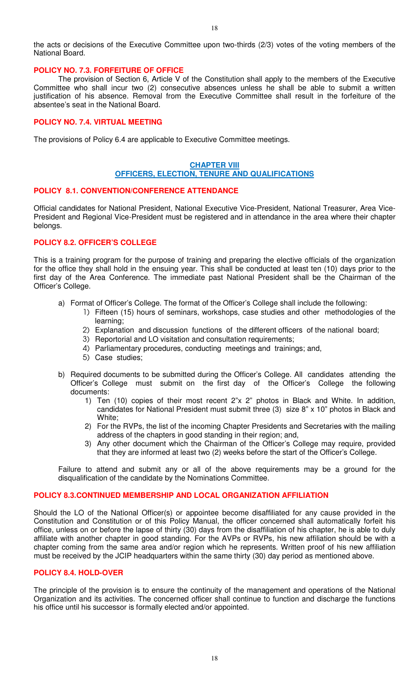the acts or decisions of the Executive Committee upon two-thirds (2/3) votes of the voting members of the National Board.

## **POLICY NO. 7.3. FORFEITURE OF OFFICE**

 The provision of Section 6, Article V of the Constitution shall apply to the members of the Executive Committee who shall incur two (2) consecutive absences unless he shall be able to submit a written justification of his absence. Removal from the Executive Committee shall result in the forfeiture of the absentee's seat in the National Board.

## **POLICY NO. 7.4. VIRTUAL MEETING**

The provisions of Policy 6.4 are applicable to Executive Committee meetings.

# **CHAPTER VIII OFFICERS, ELECTION, TENURE AND QUALIFICATIONS**

### **POLICY 8.1. CONVENTION/CONFERENCE ATTENDANCE**

Official candidates for National President, National Executive Vice-President, National Treasurer, Area Vice-President and Regional Vice-President must be registered and in attendance in the area where their chapter belongs.

### **POLICY 8.2. OFFICER'S COLLEGE**

This is a training program for the purpose of training and preparing the elective officials of the organization for the office they shall hold in the ensuing year. This shall be conducted at least ten (10) days prior to the first day of the Area Conference. The immediate past National President shall be the Chairman of the Officer's College.

- a) Format of Officer's College. The format of the Officer's College shall include the following:
	- 1) Fifteen (15) hours of seminars, workshops, case studies and other methodologies of the learning;
	- 2) Explanation and discussion functions of the different officers of the national board;
	- 3) Reportorial and LO visitation and consultation requirements;
	- 4) Parliamentary procedures, conducting meetings and trainings; and,
	- 5) Case studies;
- b) Required documents to be submitted during the Officer's College. All candidates attending the Officer's College must submit on the first day of the Officer's College the following documents:
	- 1) Ten (10) copies of their most recent 2"x 2" photos in Black and White. In addition, candidates for National President must submit three (3) size 8" x 10" photos in Black and White;
	- 2) For the RVPs, the list of the incoming Chapter Presidents and Secretaries with the mailing address of the chapters in good standing in their region; and,
	- 3) Any other document which the Chairman of the Officer's College may require, provided that they are informed at least two (2) weeks before the start of the Officer's College.

Failure to attend and submit any or all of the above requirements may be a ground for the disqualification of the candidate by the Nominations Committee.

### **POLICY 8.3.CONTINUED MEMBERSHIP AND LOCAL ORGANIZATION AFFILIATION**

Should the LO of the National Officer(s) or appointee become disaffiliated for any cause provided in the Constitution and Constitution or of this Policy Manual, the officer concerned shall automatically forfeit his office, unless on or before the lapse of thirty (30) days from the disaffiliation of his chapter, he is able to duly affiliate with another chapter in good standing. For the AVPs or RVPs, his new affiliation should be with a chapter coming from the same area and/or region which he represents. Written proof of his new affiliation must be received by the JCIP headquarters within the same thirty (30) day period as mentioned above.

### **POLICY 8.4. HOLD-OVER**

The principle of the provision is to ensure the continuity of the management and operations of the National Organization and its activities. The concerned officer shall continue to function and discharge the functions his office until his successor is formally elected and/or appointed.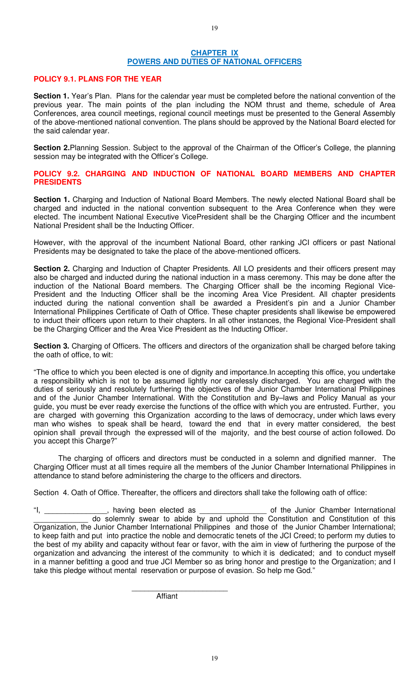## **CHAPTER IX POWERS AND DUTIES OF NATIONAL OFFICERS**

## **POLICY 9.1. PLANS FOR THE YEAR**

**Section 1.** Year's Plan. Plans for the calendar year must be completed before the national convention of the previous year. The main points of the plan including the NOM thrust and theme, schedule of Area Conferences, area council meetings, regional council meetings must be presented to the General Assembly of the above-mentioned national convention. The plans should be approved by the National Board elected for the said calendar year.

**Section 2.**Planning Session. Subject to the approval of the Chairman of the Officer's College, the planning session may be integrated with the Officer's College.

**POLICY 9.2. CHARGING AND INDUCTION OF NATIONAL BOARD MEMBERS AND CHAPTER PRESIDENTS** 

**Section 1.** Charging and Induction of National Board Members. The newly elected National Board shall be charged and inducted in the national convention subsequent to the Area Conference when they were elected. The incumbent National Executive VicePresident shall be the Charging Officer and the incumbent National President shall be the Inducting Officer.

However, with the approval of the incumbent National Board, other ranking JCI officers or past National Presidents may be designated to take the place of the above-mentioned officers.

**Section 2.** Charging and Induction of Chapter Presidents. All LO presidents and their officers present may also be charged and inducted during the national induction in a mass ceremony. This may be done after the induction of the National Board members. The Charging Officer shall be the incoming Regional Vice-President and the Inducting Officer shall be the incoming Area Vice President. All chapter presidents inducted during the national convention shall be awarded a President's pin and a Junior Chamber International Philippines Certificate of Oath of Office. These chapter presidents shall likewise be empowered to induct their officers upon return to their chapters. In all other instances, the Regional Vice-President shall be the Charging Officer and the Area Vice President as the Inducting Officer.

**Section 3.** Charging of Officers. The officers and directors of the organization shall be charged before taking the oath of office, to wit:

"The office to which you been elected is one of dignity and importance.In accepting this office, you undertake a responsibility which is not to be assumed lightly nor carelessly discharged. You are charged with the duties of seriously and resolutely furthering the objectives of the Junior Chamber International Philippines and of the Junior Chamber International. With the Constitution and By–laws and Policy Manual as your guide, you must be ever ready exercise the functions of the office with which you are entrusted. Further, you are charged with governing this Organization according to the laws of democracy, under which laws every man who wishes to speak shall be heard, toward the end that in every matter considered, the best opinion shall prevail through the expressed will of the majority, and the best course of action followed. Do you accept this Charge?"

 The charging of officers and directors must be conducted in a solemn and dignified manner. The Charging Officer must at all times require all the members of the Junior Chamber International Philippines in attendance to stand before administering the charge to the officers and directors.

Section 4. Oath of Office. Thereafter, the officers and directors shall take the following oath of office:

"I, \_\_\_\_\_\_\_\_\_\_\_\_\_\_\_, having been elected as \_\_\_\_\_\_\_\_\_\_\_\_\_\_\_\_ of the Junior Chamber International do solemnly swear to abide by and uphold the Constitution and Constitution of this Organization, the Junior Chamber International Philippines and those of the Junior Chamber International; to keep faith and put into practice the noble and democratic tenets of the JCI Creed; to perform my duties to the best of my ability and capacity without fear or favor, with the aim in view of furthering the purpose of the organization and advancing the interest of the community to which it is dedicated; and to conduct myself in a manner befitting a good and true JCI Member so as bring honor and prestige to the Organization; and I take this pledge without mental reservation or purpose of evasion. So help me God."

Affiant

 $\frac{1}{2}$  ,  $\frac{1}{2}$  ,  $\frac{1}{2}$  ,  $\frac{1}{2}$  ,  $\frac{1}{2}$  ,  $\frac{1}{2}$  ,  $\frac{1}{2}$  ,  $\frac{1}{2}$  ,  $\frac{1}{2}$  ,  $\frac{1}{2}$  ,  $\frac{1}{2}$  ,  $\frac{1}{2}$  ,  $\frac{1}{2}$  ,  $\frac{1}{2}$  ,  $\frac{1}{2}$  ,  $\frac{1}{2}$  ,  $\frac{1}{2}$  ,  $\frac{1}{2}$  ,  $\frac{1$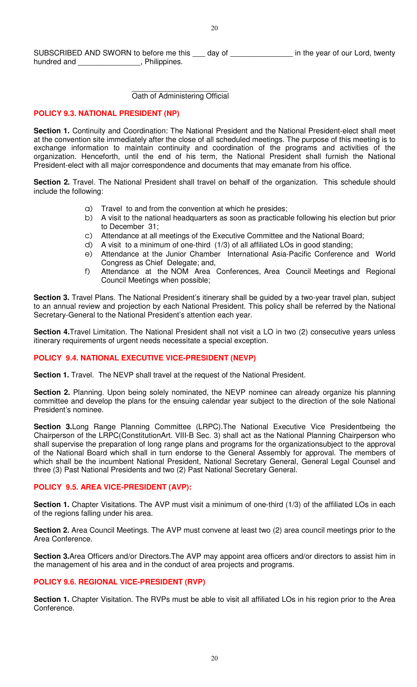SUBSCRIBED AND SWORN to before me this \_\_\_ day of \_\_\_\_\_\_\_\_\_\_\_\_\_\_\_ in the year of our Lord, twenty hundred and \_\_\_\_\_\_\_\_\_\_\_\_\_\_\_\_, Philippines.

#### $\overline{\phantom{a}}$  , and the contract of the contract of the contract of the contract of the contract of the contract of the contract of the contract of the contract of the contract of the contract of the contract of the contrac Oath of Administering Official

# **POLICY 9.3. NATIONAL PRESIDENT (NP)**

**Section 1.** Continuity and Coordination: The National President and the National President-elect shall meet at the convention site immediately after the close of all scheduled meetings. The purpose of this meeting is to exchange information to maintain continuity and coordination of the programs and activities of the organization. Henceforth, until the end of his term, the National President shall furnish the National President-elect with all major correspondence and documents that may emanate from his office.

**Section 2.** Travel. The National President shall travel on behalf of the organization. This schedule should include the following:

- a) Travel to and from the convention at which he presides;
- b) A visit to the national headquarters as soon as practicable following his election but prior to December 31;
- c) Attendance at all meetings of the Executive Committee and the National Board;
- d) A visit to a minimum of one-third (1/3) of all affiliated LOs in good standing;
- e) Attendance at the Junior Chamber International Asia-Pacific Conference and World Congress as Chief Delegate; and,
- f) Attendance at the NOM Area Conferences, Area Council Meetings and Regional Council Meetings when possible;

**Section 3.** Travel Plans. The National President's itinerary shall be guided by a two-year travel plan, subject to an annual review and projection by each National President. This policy shall be referred by the National Secretary-General to the National President's attention each year.

**Section 4.**Travel Limitation. The National President shall not visit a LO in two (2) consecutive years unless itinerary requirements of urgent needs necessitate a special exception.

### **POLICY 9.4. NATIONAL EXECUTIVE VICE-PRESIDENT (NEVP)**

**Section 1.** Travel. The NEVP shall travel at the request of the National President.

Section 2. Planning. Upon being solely nominated, the NEVP nominee can already organize his planning committee and develop the plans for the ensuing calendar year subject to the direction of the sole National President's nominee.

**Section 3.**Long Range Planning Committee (LRPC).The National Executive Vice Presidentbeing the Chairperson of the LRPC(ConstitutionArt. VIII-B Sec. 3) shall act as the National Planning Chairperson who shall supervise the preparation of long range plans and programs for the organizationsubject to the approval of the National Board which shall in turn endorse to the General Assembly for approval. The members of which shall be the incumbent National President, National Secretary General, General Legal Counsel and three (3) Past National Presidents and two (2) Past National Secretary General.

### **POLICY 9.5. AREA VICE-PRESIDENT (AVP):**

**Section 1.** Chapter Visitations. The AVP must visit a minimum of one-third (1/3) of the affiliated LOs in each of the regions falling under his area.

**Section 2.** Area Council Meetings. The AVP must convene at least two (2) area council meetings prior to the Area Conference.

**Section 3.**Area Officers and/or Directors.The AVP may appoint area officers and/or directors to assist him in the management of his area and in the conduct of area projects and programs.

# **POLICY 9.6. REGIONAL VICE-PRESIDENT (RVP)**

**Section 1.** Chapter Visitation. The RVPs must be able to visit all affiliated LOs in his region prior to the Area Conference.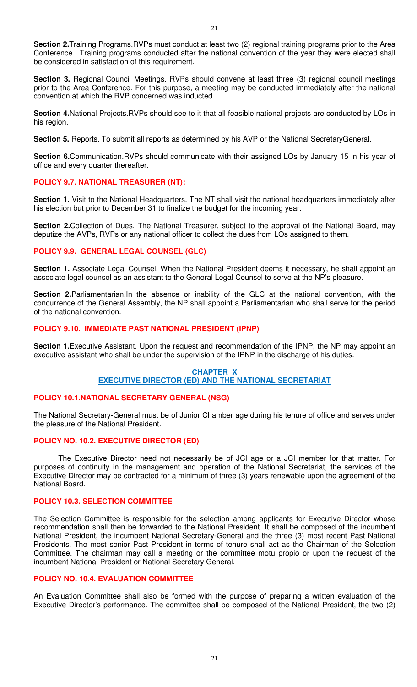**Section 2.**Training Programs.RVPs must conduct at least two (2) regional training programs prior to the Area Conference. Training programs conducted after the national convention of the year they were elected shall be considered in satisfaction of this requirement.

**Section 3.** Regional Council Meetings. RVPs should convene at least three (3) regional council meetings prior to the Area Conference. For this purpose, a meeting may be conducted immediately after the national convention at which the RVP concerned was inducted.

**Section 4.**National Projects.RVPs should see to it that all feasible national projects are conducted by LOs in his region.

**Section 5.** Reports. To submit all reports as determined by his AVP or the National SecretaryGeneral.

**Section 6.**Communication.RVPs should communicate with their assigned LOs by January 15 in his year of office and every quarter thereafter.

# **POLICY 9.7. NATIONAL TREASURER (NT):**

**Section 1.** Visit to the National Headquarters. The NT shall visit the national headquarters immediately after his election but prior to December 31 to finalize the budget for the incoming year.

**Section 2.**Collection of Dues. The National Treasurer, subject to the approval of the National Board, may deputize the AVPs, RVPs or any national officer to collect the dues from LOs assigned to them.

# **POLICY 9.9. GENERAL LEGAL COUNSEL (GLC)**

**Section 1.** Associate Legal Counsel. When the National President deems it necessary, he shall appoint an associate legal counsel as an assistant to the General Legal Counsel to serve at the NP's pleasure.

**Section 2.**Parliamentarian.In the absence or inability of the GLC at the national convention, with the concurrence of the General Assembly, the NP shall appoint a Parliamentarian who shall serve for the period of the national convention.

# **POLICY 9.10. IMMEDIATE PAST NATIONAL PRESIDENT (IPNP)**

**Section 1.**Executive Assistant. Upon the request and recommendation of the IPNP, the NP may appoint an executive assistant who shall be under the supervision of the IPNP in the discharge of his duties.

## **CHAPTER X EXECUTIVE DIRECTOR (ED) AND THE NATIONAL SECRETARIAT**

# **POLICY 10.1.NATIONAL SECRETARY GENERAL (NSG)**

The National Secretary-General must be of Junior Chamber age during his tenure of office and serves under the pleasure of the National President.

# **POLICY NO. 10.2. EXECUTIVE DIRECTOR (ED)**

 The Executive Director need not necessarily be of JCI age or a JCI member for that matter. For purposes of continuity in the management and operation of the National Secretariat, the services of the Executive Director may be contracted for a minimum of three (3) years renewable upon the agreement of the National Board.

# **POLICY 10.3. SELECTION COMMITTEE**

The Selection Committee is responsible for the selection among applicants for Executive Director whose recommendation shall then be forwarded to the National President. It shall be composed of the incumbent National President, the incumbent National Secretary-General and the three (3) most recent Past National Presidents. The most senior Past President in terms of tenure shall act as the Chairman of the Selection Committee. The chairman may call a meeting or the committee motu propio or upon the request of the incumbent National President or National Secretary General.

# **POLICY NO. 10.4. EVALUATION COMMITTEE**

An Evaluation Committee shall also be formed with the purpose of preparing a written evaluation of the Executive Director's performance. The committee shall be composed of the National President, the two (2)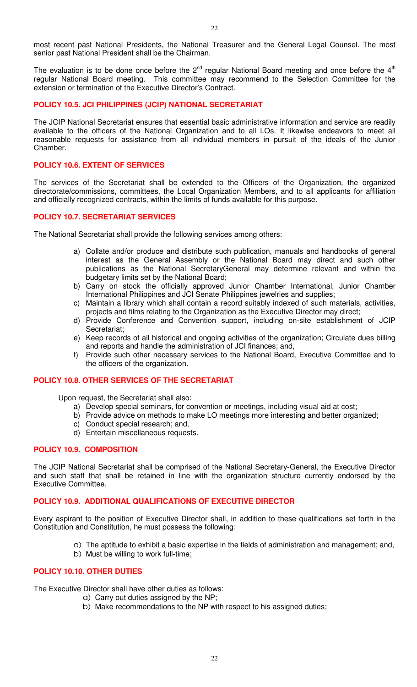most recent past National Presidents, the National Treasurer and the General Legal Counsel. The most senior past National President shall be the Chairman.

The evaluation is to be done once before the  $2^{nd}$  regular National Board meeting and once before the  $4<sup>th</sup>$ regular National Board meeting. This committee may recommend to the Selection Committee for the extension or termination of the Executive Director's Contract.

### **POLICY 10.5. JCI PHILIPPINES (JCIP) NATIONAL SECRETARIAT**

The JCIP National Secretariat ensures that essential basic administrative information and service are readily available to the officers of the National Organization and to all LOs. It likewise endeavors to meet all reasonable requests for assistance from all individual members in pursuit of the ideals of the Junior Chamber.

## **POLICY 10.6. EXTENT OF SERVICES**

The services of the Secretariat shall be extended to the Officers of the Organization, the organized directorate/commissions, committees, the Local Organization Members, and to all applicants for affiliation and officially recognized contracts, within the limits of funds available for this purpose.

# **POLICY 10.7. SECRETARIAT SERVICES**

The National Secretariat shall provide the following services among others:

- a) Collate and/or produce and distribute such publication, manuals and handbooks of general interest as the General Assembly or the National Board may direct and such other publications as the National SecretaryGeneral may determine relevant and within the budgetary limits set by the National Board;
- b) Carry on stock the officially approved Junior Chamber International, Junior Chamber International Philippines and JCI Senate Philippines jewelries and supplies;
- c) Maintain a library which shall contain a record suitably indexed of such materials, activities, projects and films relating to the Organization as the Executive Director mav direct:
- d) Provide Conference and Convention support, including on-site establishment of JCIP Secretariat;
- e) Keep records of all historical and ongoing activities of the organization; Circulate dues billing and reports and handle the administration of JCI finances; and,
- f) Provide such other necessary services to the National Board, Executive Committee and to the officers of the organization.

### **POLICY 10.8. OTHER SERVICES OF THE SECRETARIAT**

Upon request, the Secretariat shall also:

- a) Develop special seminars, for convention or meetings, including visual aid at cost;
- b) Provide advice on methods to make LO meetings more interesting and better organized;
- c) Conduct special research; and,
- d) Entertain miscellaneous requests.

## **POLICY 10.9. COMPOSITION**

The JCIP National Secretariat shall be comprised of the National Secretary-General, the Executive Director and such staff that shall be retained in line with the organization structure currently endorsed by the Executive Committee.

### **POLICY 10.9. ADDITIONAL QUALIFICATIONS OF EXECUTIVE DIRECTOR**

Every aspirant to the position of Executive Director shall, in addition to these qualifications set forth in the Constitution and Constitution, he must possess the following:

- a) The aptitude to exhibit a basic expertise in the fields of administration and management; and,
- b) Must be willing to work full-time;

# **POLICY 10.10. OTHER DUTIES**

The Executive Director shall have other duties as follows:

- a) Carry out duties assigned by the NP;
- b) Make recommendations to the NP with respect to his assigned duties;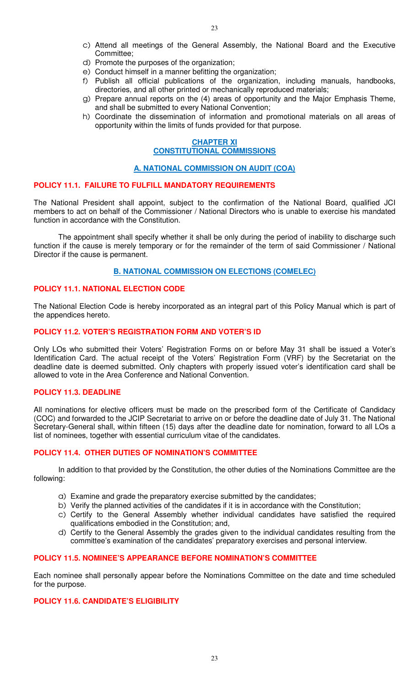- c) Attend all meetings of the General Assembly, the National Board and the Executive Committee;
- d) Promote the purposes of the organization;
- e) Conduct himself in a manner befitting the organization;
- f) Publish all official publications of the organization, including manuals, handbooks, directories, and all other printed or mechanically reproduced materials;
- g) Prepare annual reports on the (4) areas of opportunity and the Major Emphasis Theme, and shall be submitted to every National Convention;
- h) Coordinate the dissemination of information and promotional materials on all areas of opportunity within the limits of funds provided for that purpose.

# **CHAPTER XI CONSTITUTIONAL COMMISSIONS**

## **A. NATIONAL COMMISSION ON AUDIT (COA)**

## **POLICY 11.1. FAILURE TO FULFILL MANDATORY REQUIREMENTS**

The National President shall appoint, subject to the confirmation of the National Board, qualified JCI members to act on behalf of the Commissioner / National Directors who is unable to exercise his mandated function in accordance with the Constitution.

 The appointment shall specify whether it shall be only during the period of inability to discharge such function if the cause is merely temporary or for the remainder of the term of said Commissioner / National Director if the cause is permanent.

## **B. NATIONAL COMMISSION ON ELECTIONS (COMELEC)**

# **POLICY 11.1. NATIONAL ELECTION CODE**

The National Election Code is hereby incorporated as an integral part of this Policy Manual which is part of the appendices hereto.

## **POLICY 11.2. VOTER'S REGISTRATION FORM AND VOTER'S ID**

Only LOs who submitted their Voters' Registration Forms on or before May 31 shall be issued a Voter's Identification Card. The actual receipt of the Voters' Registration Form (VRF) by the Secretariat on the deadline date is deemed submitted. Only chapters with properly issued voter's identification card shall be allowed to vote in the Area Conference and National Convention.

# **POLICY 11.3. DEADLINE**

All nominations for elective officers must be made on the prescribed form of the Certificate of Candidacy (COC) and forwarded to the JCIP Secretariat to arrive on or before the deadline date of July 31. The National Secretary-General shall, within fifteen (15) days after the deadline date for nomination, forward to all LOs a list of nominees, together with essential curriculum vitae of the candidates.

# **POLICY 11.4. OTHER DUTIES OF NOMINATION'S COMMITTEE**

 In addition to that provided by the Constitution, the other duties of the Nominations Committee are the following:

- a) Examine and grade the preparatory exercise submitted by the candidates;
- b) Verify the planned activities of the candidates if it is in accordance with the Constitution;
- c) Certify to the General Assembly whether individual candidates have satisfied the required qualifications embodied in the Constitution; and,
- d) Certify to the General Assembly the grades given to the individual candidates resulting from the committee's examination of the candidates' preparatory exercises and personal interview.

# **POLICY 11.5. NOMINEE'S APPEARANCE BEFORE NOMINATION'S COMMITTEE**

Each nominee shall personally appear before the Nominations Committee on the date and time scheduled for the purpose.

# **POLICY 11.6. CANDIDATE'S ELIGIBILITY**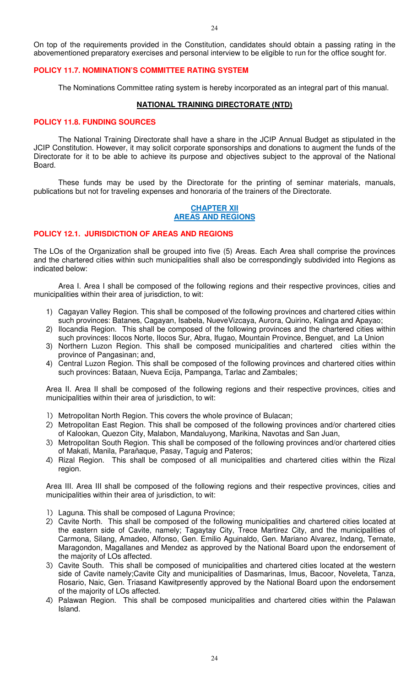On top of the requirements provided in the Constitution, candidates should obtain a passing rating in the abovementioned preparatory exercises and personal interview to be eligible to run for the office sought for.

# **POLICY 11.7. NOMINATION'S COMMITTEE RATING SYSTEM**

The Nominations Committee rating system is hereby incorporated as an integral part of this manual.

## **NATIONAL TRAINING DIRECTORATE (NTD)**

### **POLICY 11.8. FUNDING SOURCES**

 The National Training Directorate shall have a share in the JCIP Annual Budget as stipulated in the JCIP Constitution. However, it may solicit corporate sponsorships and donations to augment the funds of the Directorate for it to be able to achieve its purpose and objectives subject to the approval of the National Board.

 These funds may be used by the Directorate for the printing of seminar materials, manuals, publications but not for traveling expenses and honoraria of the trainers of the Directorate.

## **CHAPTER XII AREAS AND REGIONS**

# **POLICY 12.1. JURISDICTION OF AREAS AND REGIONS**

The LOs of the Organization shall be grouped into five (5) Areas. Each Area shall comprise the provinces and the chartered cities within such municipalities shall also be correspondingly subdivided into Regions as indicated below:

 Area I. Area I shall be composed of the following regions and their respective provinces, cities and municipalities within their area of jurisdiction, to wit:

- 1) Cagayan Valley Region. This shall be composed of the following provinces and chartered cities within such provinces: Batanes, Cagayan, Isabela, NueveVizcaya, Aurora, Quirino, Kalinga and Apayao;
- 2) Ilocandia Region. This shall be composed of the following provinces and the chartered cities within such provinces: Ilocos Norte, Ilocos Sur, Abra, Ifugao, Mountain Province, Benguet, and La Union
- 3) Northern Luzon Region. This shall be composed municipalities and chartered cities within the province of Pangasinan; and,
- 4) Central Luzon Region. This shall be composed of the following provinces and chartered cities within such provinces: Bataan, Nueva Ecija, Pampanga, Tarlac and Zambales;

Area II. Area II shall be composed of the following regions and their respective provinces, cities and municipalities within their area of jurisdiction, to wit:

- 1) Metropolitan North Region. This covers the whole province of Bulacan;
- 2) Metropolitan East Region. This shall be composed of the following provinces and/or chartered cities of Kalookan, Quezon City, Malabon, Mandaluyong, Marikina, Navotas and San Juan,
- 3) Metropolitan South Region. This shall be composed of the following provinces and/or chartered cities of Makati, Manila, Parañaque, Pasay, Taguig and Pateros;
- 4) Rizal Region. This shall be composed of all municipalities and chartered cities within the Rizal region.

Area III. Area III shall be composed of the following regions and their respective provinces, cities and municipalities within their area of jurisdiction, to wit:

- 1) Laguna. This shall be composed of Laguna Province;
- 2) Cavite North. This shall be composed of the following municipalities and chartered cities located at the eastern side of Cavite, namely; Tagaytay City, Trece Martirez City, and the municipalities of Carmona, Silang, Amadeo, Alfonso, Gen. Emilio Aguinaldo, Gen. Mariano Alvarez, Indang, Ternate, Maragondon, Magallanes and Mendez as approved by the National Board upon the endorsement of the majority of LOs affected.
- 3) Cavite South. This shall be composed of municipalities and chartered cities located at the western side of Cavite namely;Cavite City and municipalities of Dasmarinas, Imus, Bacoor, Noveleta, Tanza, Rosario, Naic, Gen. Triasand Kawitpresently approved by the National Board upon the endorsement of the majority of LOs affected.
- 4) Palawan Region. This shall be composed municipalities and chartered cities within the Palawan Island.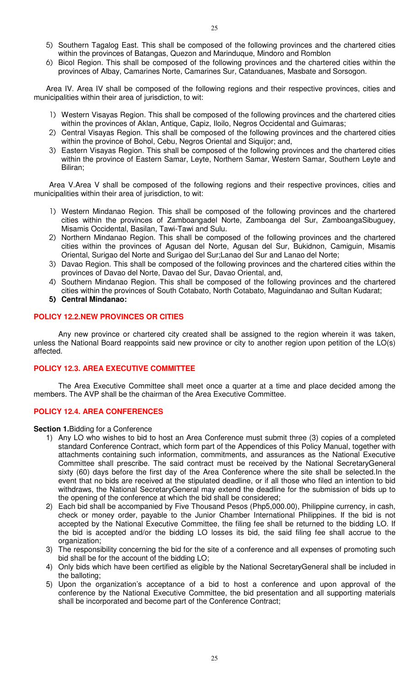- 5) Southern Tagalog East. This shall be composed of the following provinces and the chartered cities within the provinces of Batangas, Quezon and Marinduque, Mindoro and Romblon
- 6) Bicol Region. This shall be composed of the following provinces and the chartered cities within the provinces of Albay, Camarines Norte, Camarines Sur, Catanduanes, Masbate and Sorsogon.

Area IV. Area IV shall be composed of the following regions and their respective provinces, cities and municipalities within their area of jurisdiction, to wit:

- 1) Western Visayas Region. This shall be composed of the following provinces and the chartered cities within the provinces of Aklan, Antique, Capiz, Iloilo, Negros Occidental and Guimaras;
- 2) Central Visayas Region. This shall be composed of the following provinces and the chartered cities within the province of Bohol, Cebu, Negros Oriental and Siquijor; and,
- 3) Eastern Visayas Region. This shall be composed of the following provinces and the chartered cities within the province of Eastern Samar, Leyte, Northern Samar, Western Samar, Southern Leyte and Biliran;

Area V.Area V shall be composed of the following regions and their respective provinces, cities and municipalities within their area of jurisdiction, to wit:

- 1) Western Mindanao Region. This shall be composed of the following provinces and the chartered cities within the provinces of Zamboangadel Norte, Zamboanga del Sur, ZamboangaSibuguey, Misamis Occidental, Basilan, Tawi-Tawi and Sulu.
- 2) Northern Mindanao Region. This shall be composed of the following provinces and the chartered cities within the provinces of Agusan del Norte, Agusan del Sur, Bukidnon, Camiguin, Misamis Oriental, Surigao del Norte and Surigao del Sur;Lanao del Sur and Lanao del Norte;
- 3) Davao Region. This shall be composed of the following provinces and the chartered cities within the provinces of Davao del Norte, Davao del Sur, Davao Oriental, and,
- 4) Southern Mindanao Region. This shall be composed of the following provinces and the chartered cities within the provinces of South Cotabato, North Cotabato, Maguindanao and Sultan Kudarat;
- 5) **Central Mindanao:**

# **POLICY 12.2.NEW PROVINCES OR CITIES**

 Any new province or chartered city created shall be assigned to the region wherein it was taken, unless the National Board reappoints said new province or city to another region upon petition of the LO(s) affected.

# **POLICY 12.3. AREA EXECUTIVE COMMITTEE**

 The Area Executive Committee shall meet once a quarter at a time and place decided among the members. The AVP shall be the chairman of the Area Executive Committee.

### **POLICY 12.4. AREA CONFERENCES**

**Section 1.**Bidding for a Conference

- 1) Any LO who wishes to bid to host an Area Conference must submit three (3) copies of a completed standard Conference Contract, which form part of the Appendices of this Policy Manual, together with attachments containing such information, commitments, and assurances as the National Executive Committee shall prescribe. The said contract must be received by the National SecretaryGeneral sixty (60) days before the first day of the Area Conference where the site shall be selected.In the event that no bids are received at the stipulated deadline, or if all those who filed an intention to bid withdraws, the National SecretaryGeneral may extend the deadline for the submission of bids up to the opening of the conference at which the bid shall be considered;
- 2) Each bid shall be accompanied by Five Thousand Pesos (Php5,000.00), Philippine currency, in cash, check or money order, payable to the Junior Chamber International Philippines. If the bid is not accepted by the National Executive Committee, the filing fee shall be returned to the bidding LO. If the bid is accepted and/or the bidding LO losses its bid, the said filing fee shall accrue to the organization;
- 3) The responsibility concerning the bid for the site of a conference and all expenses of promoting such bid shall be for the account of the bidding LO;
- 4) Only bids which have been certified as eligible by the National SecretaryGeneral shall be included in the balloting;
- 5) Upon the organization's acceptance of a bid to host a conference and upon approval of the conference by the National Executive Committee, the bid presentation and all supporting materials shall be incorporated and become part of the Conference Contract;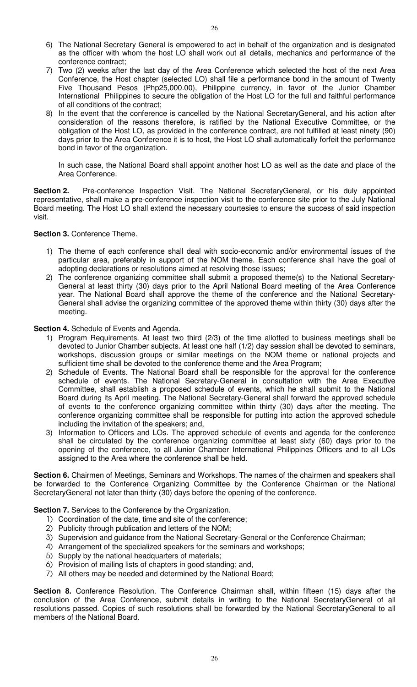- 6) The National Secretary General is empowered to act in behalf of the organization and is designated as the officer with whom the host LO shall work out all details, mechanics and performance of the conference contract;
- 7) Two (2) weeks after the last day of the Area Conference which selected the host of the next Area Conference, the Host chapter (selected LO) shall file a performance bond in the amount of Twenty Five Thousand Pesos (Php25,000.00), Philippine currency, in favor of the Junior Chamber International Philippines to secure the obligation of the Host LO for the full and faithful performance of all conditions of the contract;
- 8) In the event that the conference is cancelled by the National SecretaryGeneral, and his action after consideration of the reasons therefore, is ratified by the National Executive Committee, or the obligation of the Host LO, as provided in the conference contract, are not fulfilled at least ninety (90) days prior to the Area Conference it is to host, the Host LO shall automatically forfeit the performance bond in favor of the organization.

In such case, the National Board shall appoint another host LO as well as the date and place of the Area Conference.

**Section 2.** Pre-conference Inspection Visit. The National SecretaryGeneral, or his duly appointed representative, shall make a pre-conference inspection visit to the conference site prior to the July National Board meeting. The Host LO shall extend the necessary courtesies to ensure the success of said inspection visit.

**Section 3.** Conference Theme.

- 1) The theme of each conference shall deal with socio-economic and/or environmental issues of the particular area, preferably in support of the NOM theme. Each conference shall have the goal of adopting declarations or resolutions aimed at resolving those issues;
- 2) The conference organizing committee shall submit a proposed theme(s) to the National Secretary-General at least thirty (30) days prior to the April National Board meeting of the Area Conference year. The National Board shall approve the theme of the conference and the National Secretary-General shall advise the organizing committee of the approved theme within thirty (30) days after the meeting.

**Section 4.** Schedule of Events and Agenda.

- 1) Program Requirements. At least two third (2/3) of the time allotted to business meetings shall be devoted to Junior Chamber subjects. At least one half (1/2) day session shall be devoted to seminars, workshops, discussion groups or similar meetings on the NOM theme or national projects and sufficient time shall be devoted to the conference theme and the Area Program;
- 2) Schedule of Events. The National Board shall be responsible for the approval for the conference schedule of events. The National Secretary-General in consultation with the Area Executive Committee, shall establish a proposed schedule of events, which he shall submit to the National Board during its April meeting. The National Secretary-General shall forward the approved schedule of events to the conference organizing committee within thirty (30) days after the meeting. The conference organizing committee shall be responsible for putting into action the approved schedule including the invitation of the speakers; and,
- 3) Information to Officers and LOs. The approved schedule of events and agenda for the conference shall be circulated by the conference organizing committee at least sixty (60) days prior to the opening of the conference, to all Junior Chamber International Philippines Officers and to all LOs assigned to the Area where the conference shall be held.

**Section 6.** Chairmen of Meetings, Seminars and Workshops. The names of the chairmen and speakers shall be forwarded to the Conference Organizing Committee by the Conference Chairman or the National SecretaryGeneral not later than thirty (30) days before the opening of the conference.

**Section 7.** Services to the Conference by the Organization.

- 1) Coordination of the date, time and site of the conference;
- 2) Publicity through publication and letters of the NOM;
- 3) Supervision and guidance from the National Secretary-General or the Conference Chairman;
- 4) Arrangement of the specialized speakers for the seminars and workshops;
- 5) Supply by the national headquarters of materials;
- 6) Provision of mailing lists of chapters in good standing; and,
- 7) All others may be needed and determined by the National Board;

**Section 8.** Conference Resolution. The Conference Chairman shall, within fifteen (15) days after the conclusion of the Area Conference, submit details in writing to the National SecretaryGeneral of all resolutions passed. Copies of such resolutions shall be forwarded by the National SecretaryGeneral to all members of the National Board.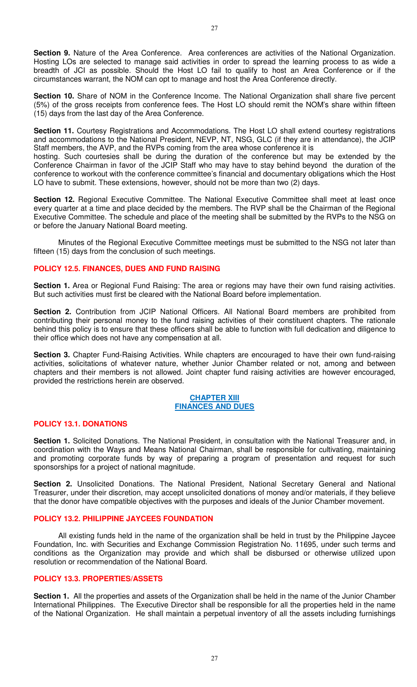**Section 9.** Nature of the Area Conference. Area conferences are activities of the National Organization. Hosting LOs are selected to manage said activities in order to spread the learning process to as wide a breadth of JCI as possible. Should the Host LO fail to qualify to host an Area Conference or if the circumstances warrant, the NOM can opt to manage and host the Area Conference directly.

**Section 10.** Share of NOM in the Conference Income. The National Organization shall share five percent (5%) of the gross receipts from conference fees. The Host LO should remit the NOM's share within fifteen (15) days from the last day of the Area Conference.

**Section 11.** Courtesy Registrations and Accommodations. The Host LO shall extend courtesy registrations and accommodations to the National President, NEVP, NT, NSG, GLC (if they are in attendance), the JCIP Staff members, the AVP, and the RVPs coming from the area whose conference it is

hosting. Such courtesies shall be during the duration of the conference but may be extended by the Conference Chairman in favor of the JCIP Staff who may have to stay behind beyond the duration of the conference to workout with the conference committee's financial and documentary obligations which the Host LO have to submit. These extensions, however, should not be more than two (2) days.

**Section 12.** Regional Executive Committee. The National Executive Committee shall meet at least once every quarter at a time and place decided by the members. The RVP shall be the Chairman of the Regional Executive Committee. The schedule and place of the meeting shall be submitted by the RVPs to the NSG on or before the January National Board meeting.

 Minutes of the Regional Executive Committee meetings must be submitted to the NSG not later than fifteen (15) days from the conclusion of such meetings.

# **POLICY 12.5. FINANCES, DUES AND FUND RAISING**

**Section 1.** Area or Regional Fund Raising: The area or regions may have their own fund raising activities. But such activities must first be cleared with the National Board before implementation.

**Section 2.** Contribution from JCIP National Officers. All National Board members are prohibited from contributing their personal money to the fund raising activities of their constituent chapters. The rationale behind this policy is to ensure that these officers shall be able to function with full dedication and diligence to their office which does not have any compensation at all.

**Section 3.** Chapter Fund-Raising Activities. While chapters are encouraged to have their own fund-raising activities, solicitations of whatever nature, whether Junior Chamber related or not, among and between chapters and their members is not allowed. Joint chapter fund raising activities are however encouraged, provided the restrictions herein are observed.

### **CHAPTER XIII FINANCES AND DUES**

# **POLICY 13.1. DONATIONS**

Section 1. Solicited Donations. The National President, in consultation with the National Treasurer and, in coordination with the Ways and Means National Chairman, shall be responsible for cultivating, maintaining and promoting corporate funds by way of preparing a program of presentation and request for such sponsorships for a project of national magnitude.

**Section 2.** Unsolicited Donations. The National President, National Secretary General and National Treasurer, under their discretion, may accept unsolicited donations of money and/or materials, if they believe that the donor have compatible objectives with the purposes and ideals of the Junior Chamber movement.

# **POLICY 13.2. PHILIPPINE JAYCEES FOUNDATION**

 All existing funds held in the name of the organization shall be held in trust by the Philippine Jaycee Foundation, Inc. with Securities and Exchange Commission Registration No. 11695, under such terms and conditions as the Organization may provide and which shall be disbursed or otherwise utilized upon resolution or recommendation of the National Board.

### **POLICY 13.3. PROPERTIES/ASSETS**

**Section 1.** All the properties and assets of the Organization shall be held in the name of the Junior Chamber International Philippines. The Executive Director shall be responsible for all the properties held in the name of the National Organization. He shall maintain a perpetual inventory of all the assets including furnishings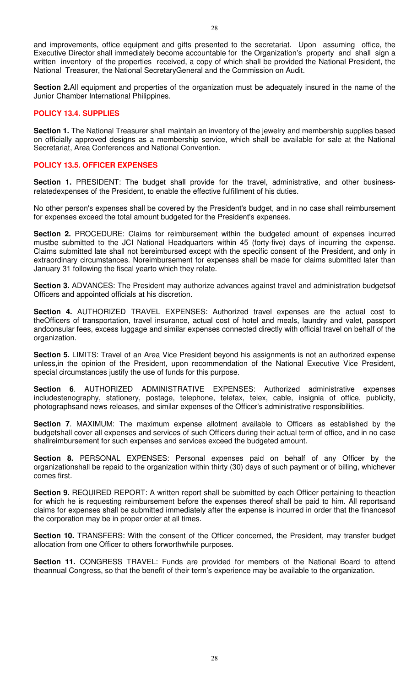and improvements, office equipment and gifts presented to the secretariat. Upon assuming office, the Executive Director shall immediately become accountable for the Organization's property and shall sign a written inventory of the properties received, a copy of which shall be provided the National President, the National Treasurer, the National SecretaryGeneral and the Commission on Audit.

**Section 2.**All equipment and properties of the organization must be adequately insured in the name of the Junior Chamber International Philippines.

# **POLICY 13.4. SUPPLIES**

**Section 1.** The National Treasurer shall maintain an inventory of the jewelry and membership supplies based on officially approved designs as a membership service, which shall be available for sale at the National Secretariat, Area Conferences and National Convention.

## **POLICY 13.5. OFFICER EXPENSES**

Section 1. PRESIDENT: The budget shall provide for the travel, administrative, and other businessrelatedexpenses of the President, to enable the effective fulfillment of his duties.

No other person's expenses shall be covered by the President's budget, and in no case shall reimbursement for expenses exceed the total amount budgeted for the President's expenses.

**Section 2.** PROCEDURE: Claims for reimbursement within the budgeted amount of expenses incurred mustbe submitted to the JCI National Headquarters within 45 (forty-five) days of incurring the expense. Claims submitted late shall not bereimbursed except with the specific consent of the President, and only in extraordinary circumstances. Noreimbursement for expenses shall be made for claims submitted later than January 31 following the fiscal yearto which they relate.

**Section 3.** ADVANCES: The President may authorize advances against travel and administration budgetsof Officers and appointed officials at his discretion.

**Section 4.** AUTHORIZED TRAVEL EXPENSES: Authorized travel expenses are the actual cost to theOfficers of transportation, travel insurance, actual cost of hotel and meals, laundry and valet, passport andconsular fees, excess luggage and similar expenses connected directly with official travel on behalf of the organization.

**Section 5.** LIMITS: Travel of an Area Vice President beyond his assignments is not an authorized expense unless,in the opinion of the President, upon recommendation of the National Executive Vice President, special circumstances justify the use of funds for this purpose.

**Section 6**. AUTHORIZED ADMINISTRATIVE EXPENSES: Authorized administrative expenses includestenography, stationery, postage, telephone, telefax, telex, cable, insignia of office, publicity, photographsand news releases, and similar expenses of the Officer's administrative responsibilities.

**Section 7**. MAXIMUM: The maximum expense allotment available to Officers as established by the budgetshall cover all expenses and services of such Officers during their actual term of office, and in no case shallreimbursement for such expenses and services exceed the budgeted amount.

**Section 8.** PERSONAL EXPENSES: Personal expenses paid on behalf of any Officer by the organizationshall be repaid to the organization within thirty (30) days of such payment or of billing, whichever comes first.

**Section 9.** REQUIRED REPORT: A written report shall be submitted by each Officer pertaining to theaction for which he is requesting reimbursement before the expenses thereof shall be paid to him. All reportsand claims for expenses shall be submitted immediately after the expense is incurred in order that the financesof the corporation may be in proper order at all times.

**Section 10.** TRANSFERS: With the consent of the Officer concerned, the President, may transfer budget allocation from one Officer to others forworthwhile purposes.

**Section 11.** CONGRESS TRAVEL: Funds are provided for members of the National Board to attend theannual Congress, so that the benefit of their term's experience may be available to the organization.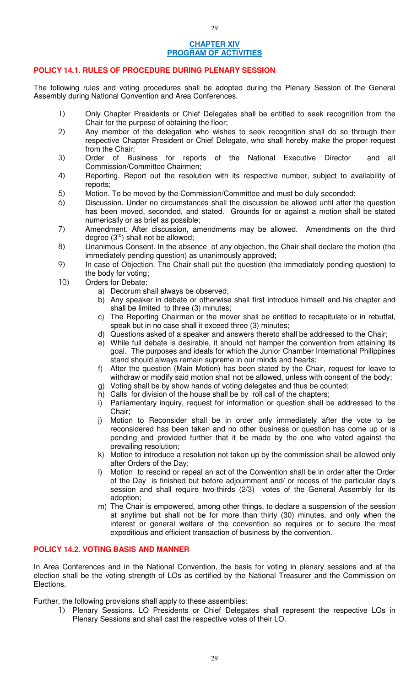# **CHAPTER XIV PROGRAM OF ACTIVITIES**

29

# **POLICY 14.1. RULES OF PROCEDURE DURING PLENARY SESSION**

The following rules and voting procedures shall be adopted during the Plenary Session of the General Assembly during National Convention and Area Conferences.

- 1) Only Chapter Presidents or Chief Delegates shall be entitled to seek recognition from the Chair for the purpose of obtaining the floor;
- 2) Any member of the delegation who wishes to seek recognition shall do so through their respective Chapter President or Chief Delegate, who shall hereby make the proper request from the Chair;
- 3) Order of Business for reports of the National Executive Director and all Commission/Committee Chairmen;
- 4) Reporting. Report out the resolution with its respective number, subject to availability of reports;
- 5) Motion. To be moved by the Commission/Committee and must be duly seconded;
- 6) Discussion. Under no circumstances shall the discussion be allowed until after the question has been moved, seconded, and stated. Grounds for or against a motion shall be stated numerically or as brief as possible;
- 7) Amendment. After discussion, amendments may be allowed. Amendments on the third degree  $(3<sup>rd</sup>)$  shall not be allowed;
- 8) Unanimous Consent. In the absence of any objection, the Chair shall declare the motion (the immediately pending question) as unanimously approved;
- 9) In case of Objection. The Chair shall put the question (the immediately pending question) to the body for voting;
- 10) Orders for Debate:
	- a) Decorum shall always be observed;
	- b) Any speaker in debate or otherwise shall first introduce himself and his chapter and shall be limited to three (3) minutes;
	- c) The Reporting Chairman or the mover shall be entitled to recapitulate or in rebuttal, speak but in no case shall it exceed three (3) minutes;
	- d) Questions asked of a speaker and answers thereto shall be addressed to the Chair;
	- e) While full debate is desirable, it should not hamper the convention from attaining its goal. The purposes and ideals for which the Junior Chamber International Philippines stand should always remain supreme in our minds and hearts;
	- f) After the question (Main Motion) has been stated by the Chair, request for leave to withdraw or modify said motion shall not be allowed, unless with consent of the body;
	- g) Voting shall be by show hands of voting delegates and thus be counted;
	- h) Calls for division of the house shall be by roll call of the chapters;
	- i) Parliamentary inquiry, request for information or question shall be addressed to the Chair;
	- j) Motion to Reconsider shall be in order only immediately after the vote to be reconsidered has been taken and no other business or question has come up or is pending and provided further that it be made by the one who voted against the prevailing resolution;
	- k) Motion to introduce a resolution not taken up by the commission shall be allowed only after Orders of the Day;
	- l) Motion to rescind or repeal an act of the Convention shall be in order after the Order of the Day is finished but before adjournment and/ or recess of the particular day's session and shall require two-thirds (2/3) votes of the General Assembly for its adoption;
	- m) The Chair is empowered, among other things, to declare a suspension of the session at anytime but shall not be for more than thirty (30) minutes, and only when the interest or general welfare of the convention so requires or to secure the most expeditious and efficient transaction of business by the convention.

### **POLICY 14.2. VOTING BASIS AND MANNER**

In Area Conferences and in the National Convention, the basis for voting in plenary sessions and at the election shall be the voting strength of LOs as certified by the National Treasurer and the Commission on Elections.

Further, the following provisions shall apply to these assemblies:

1) Plenary Sessions. LO Presidents or Chief Delegates shall represent the respective LOs in Plenary Sessions and shall cast the respective votes of their LO.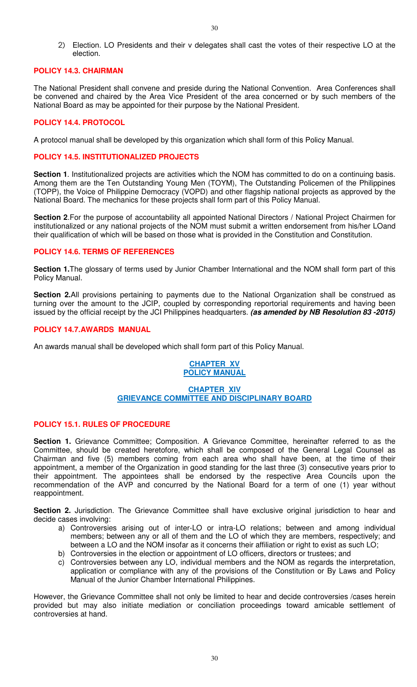2) Election. LO Presidents and their v delegates shall cast the votes of their respective LO at the election.

## **POLICY 14.3. CHAIRMAN**

The National President shall convene and preside during the National Convention. Area Conferences shall be convened and chaired by the Area Vice President of the area concerned or by such members of the National Board as may be appointed for their purpose by the National President.

# **POLICY 14.4. PROTOCOL**

A protocol manual shall be developed by this organization which shall form of this Policy Manual.

### **POLICY 14.5. INSTITUTIONALIZED PROJECTS**

**Section 1**. Institutionalized projects are activities which the NOM has committed to do on a continuing basis. Among them are the Ten Outstanding Young Men (TOYM), The Outstanding Policemen of the Philippines (TOPP), the Voice of Philippine Democracy (VOPD) and other flagship national projects as approved by the National Board. The mechanics for these projects shall form part of this Policy Manual.

**Section 2.For the purpose of accountability all appointed National Directors / National Project Chairmen for** institutionalized or any national projects of the NOM must submit a written endorsement from his/her LOand their qualification of which will be based on those what is provided in the Constitution and Constitution.

# **POLICY 14.6. TERMS OF REFERENCES**

**Section 1.**The glossary of terms used by Junior Chamber International and the NOM shall form part of this Policy Manual.

**Section 2.**All provisions pertaining to payments due to the National Organization shall be construed as turning over the amount to the JCIP, coupled by corresponding reportorial requirements and having been issued by the official receipt by the JCI Philippines headquarters. **(as amended by NB Resolution 83 -2015)**

# **POLICY 14.7.AWARDS MANUAL**

An awards manual shall be developed which shall form part of this Policy Manual.

## **CHAPTER XV POLICY MANUAL**

## **CHAPTER XIV GRIEVANCE COMMITTEE AND DISCIPLINARY BOARD**

# **POLICY 15.1. RULES OF PROCEDURE**

**Section 1.** Grievance Committee; Composition. A Grievance Committee, hereinafter referred to as the Committee, should be created heretofore, which shall be composed of the General Legal Counsel as Chairman and five (5) members coming from each area who shall have been, at the time of their appointment, a member of the Organization in good standing for the last three (3) consecutive years prior to their appointment. The appointees shall be endorsed by the respective Area Councils upon the recommendation of the AVP and concurred by the National Board for a term of one (1) year without reappointment.

**Section 2.** Jurisdiction. The Grievance Committee shall have exclusive original jurisdiction to hear and decide cases involving:

- a) Controversies arising out of inter-LO or intra-LO relations; between and among individual members; between any or all of them and the LO of which they are members, respectively; and between a LO and the NOM insofar as it concerns their affiliation or right to exist as such LO;
- b) Controversies in the election or appointment of LO officers, directors or trustees; and
- c) Controversies between any LO, individual members and the NOM as regards the interpretation, application or compliance with any of the provisions of the Constitution or By Laws and Policy Manual of the Junior Chamber International Philippines.

However, the Grievance Committee shall not only be limited to hear and decide controversies /cases herein provided but may also initiate mediation or conciliation proceedings toward amicable settlement of controversies at hand.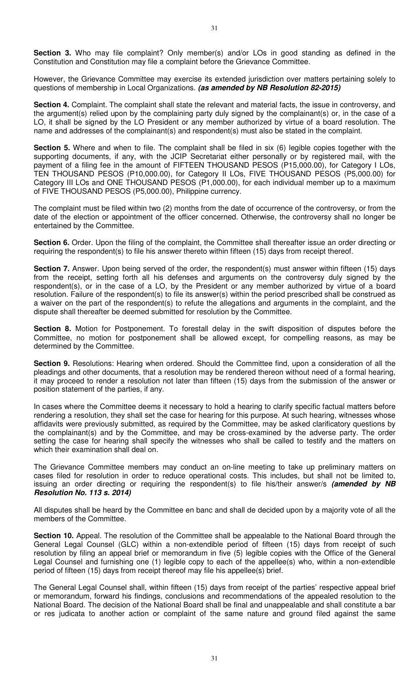**Section 3.** Who may file complaint? Only member(s) and/or LOs in good standing as defined in the Constitution and Constitution may file a complaint before the Grievance Committee.

However, the Grievance Committee may exercise its extended jurisdiction over matters pertaining solely to questions of membership in Local Organizations. **(as amended by NB Resolution 82-2015)**

**Section 4.** Complaint. The complaint shall state the relevant and material facts, the issue in controversy, and the argument(s) relied upon by the complaining party duly signed by the complainant(s) or, in the case of a LO, it shall be signed by the LO President or any member authorized by virtue of a board resolution. The name and addresses of the complainant(s) and respondent(s) must also be stated in the complaint.

**Section 5.** Where and when to file. The complaint shall be filed in six (6) legible copies together with the supporting documents, if any, with the JCIP Secretariat either personally or by registered mail, with the payment of a filing fee in the amount of FIFTEEN THOUSAND PESOS (P15,000.00), for Category I LOs, TEN THOUSAND PESOS (P10,000.00), for Category II LOs, FIVE THOUSAND PESOS (P5,000.00) for Category III LOs and ONE THOUSAND PESOS (P1,000.00), for each individual member up to a maximum of FIVE THOUSAND PESOS (P5,000.00), Philippine currency.

The complaint must be filed within two (2) months from the date of occurrence of the controversy, or from the date of the election or appointment of the officer concerned. Otherwise, the controversy shall no longer be entertained by the Committee.

**Section 6.** Order. Upon the filing of the complaint, the Committee shall thereafter issue an order directing or requiring the respondent(s) to file his answer thereto within fifteen (15) days from receipt thereof.

Section 7. Answer. Upon being served of the order, the respondent(s) must answer within fifteen (15) days from the receipt, setting forth all his defenses and arguments on the controversy duly signed by the respondent(s), or in the case of a LO, by the President or any member authorized by virtue of a board resolution. Failure of the respondent(s) to file its answer(s) within the period prescribed shall be construed as a waiver on the part of the respondent(s) to refute the allegations and arguments in the complaint, and the dispute shall thereafter be deemed submitted for resolution by the Committee.

**Section 8.** Motion for Postponement. To forestall delay in the swift disposition of disputes before the Committee, no motion for postponement shall be allowed except, for compelling reasons, as may be determined by the Committee.

**Section 9.** Resolutions: Hearing when ordered. Should the Committee find, upon a consideration of all the pleadings and other documents, that a resolution may be rendered thereon without need of a formal hearing, it may proceed to render a resolution not later than fifteen (15) days from the submission of the answer or position statement of the parties, if any.

In cases where the Committee deems it necessary to hold a hearing to clarify specific factual matters before rendering a resolution, they shall set the case for hearing for this purpose. At such hearing, witnesses whose affidavits were previously submitted, as required by the Committee, may be asked clarificatory questions by the complainant(s) and by the Committee, and may be cross-examined by the adverse party. The order setting the case for hearing shall specify the witnesses who shall be called to testify and the matters on which their examination shall deal on.

The Grievance Committee members may conduct an on-line meeting to take up preliminary matters on cases filed for resolution in order to reduce operational costs. This includes, but shall not be limited to, issuing an order directing or requiring the respondent(s) to file his/their answer/s **(amended by NB Resolution No. 113 s. 2014)**

All disputes shall be heard by the Committee en banc and shall de decided upon by a majority vote of all the members of the Committee.

**Section 10.** Appeal. The resolution of the Committee shall be appealable to the National Board through the General Legal Counsel (GLC) within a non-extendible period of fifteen (15) days from receipt of such resolution by filing an appeal brief or memorandum in five (5) legible copies with the Office of the General Legal Counsel and furnishing one (1) legible copy to each of the appellee(s) who, within a non-extendible period of fifteen (15) days from receipt thereof may file his appellee(s) brief.

The General Legal Counsel shall, within fifteen (15) days from receipt of the parties' respective appeal brief or memorandum, forward his findings, conclusions and recommendations of the appealed resolution to the National Board. The decision of the National Board shall be final and unappealable and shall constitute a bar or res judicata to another action or complaint of the same nature and ground filed against the same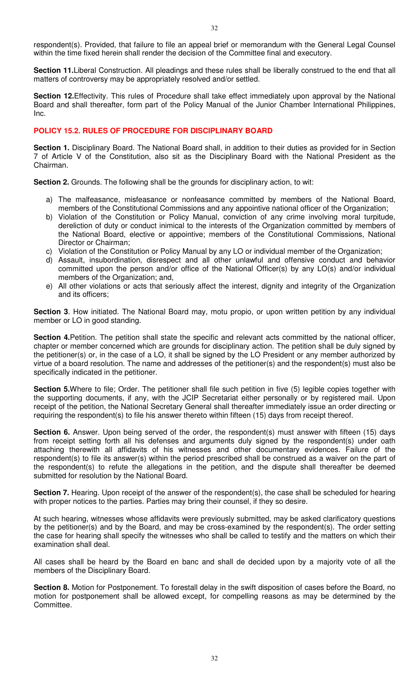respondent(s). Provided, that failure to file an appeal brief or memorandum with the General Legal Counsel within the time fixed herein shall render the decision of the Committee final and executory.

**Section 11.**Liberal Construction. All pleadings and these rules shall be liberally construed to the end that all matters of controversy may be appropriately resolved and/or settled.

**Section 12.**Effectivity. This rules of Procedure shall take effect immediately upon approval by the National Board and shall thereafter, form part of the Policy Manual of the Junior Chamber International Philippines, Inc.

## **POLICY 15.2. RULES OF PROCEDURE FOR DISCIPLINARY BOARD**

**Section 1.** Disciplinary Board. The National Board shall, in addition to their duties as provided for in Section 7 of Article V of the Constitution, also sit as the Disciplinary Board with the National President as the Chairman.

**Section 2.** Grounds. The following shall be the grounds for disciplinary action, to wit:

- a) The malfeasance, misfeasance or nonfeasance committed by members of the National Board, members of the Constitutional Commissions and any appointive national officer of the Organization;
- b) Violation of the Constitution or Policy Manual, conviction of any crime involving moral turpitude, dereliction of duty or conduct inimical to the interests of the Organization committed by members of the National Board, elective or appointive; members of the Constitutional Commissions, National Director or Chairman;
- c) Violation of the Constitution or Policy Manual by any LO or individual member of the Organization;
- d) Assault, insubordination, disrespect and all other unlawful and offensive conduct and behavior committed upon the person and/or office of the National Officer(s) by any LO(s) and/or individual members of the Organization; and,
- e) All other violations or acts that seriously affect the interest, dignity and integrity of the Organization and its officers;

**Section 3**. How initiated. The National Board may, motu propio, or upon written petition by any individual member or LO in good standing.

**Section 4.**Petition. The petition shall state the specific and relevant acts committed by the national officer, chapter or member concerned which are grounds for disciplinary action. The petition shall be duly signed by the petitioner(s) or, in the case of a LO, it shall be signed by the LO President or any member authorized by virtue of a board resolution. The name and addresses of the petitioner(s) and the respondent(s) must also be specifically indicated in the petitioner.

**Section 5.**Where to file; Order. The petitioner shall file such petition in five (5) legible copies together with the supporting documents, if any, with the JCIP Secretariat either personally or by registered mail. Upon receipt of the petition, the National Secretary General shall thereafter immediately issue an order directing or requiring the respondent(s) to file his answer thereto within fifteen (15) days from receipt thereof.

**Section 6.** Answer. Upon being served of the order, the respondent(s) must answer with fifteen (15) days from receipt setting forth all his defenses and arguments duly signed by the respondent(s) under oath attaching therewith all affidavits of his witnesses and other documentary evidences. Failure of the respondent(s) to file its answer(s) within the period prescribed shall be construed as a waiver on the part of the respondent(s) to refute the allegations in the petition, and the dispute shall thereafter be deemed submitted for resolution by the National Board.

**Section 7.** Hearing. Upon receipt of the answer of the respondent(s), the case shall be scheduled for hearing with proper notices to the parties. Parties may bring their counsel, if they so desire.

At such hearing, witnesses whose affidavits were previously submitted, may be asked clarificatory questions by the petitioner(s) and by the Board, and may be cross-examined by the respondent(s). The order setting the case for hearing shall specify the witnesses who shall be called to testify and the matters on which their examination shall deal.

All cases shall be heard by the Board en banc and shall de decided upon by a majority vote of all the members of the Disciplinary Board.

**Section 8.** Motion for Postponement. To forestall delay in the swift disposition of cases before the Board, no motion for postponement shall be allowed except, for compelling reasons as may be determined by the Committee.